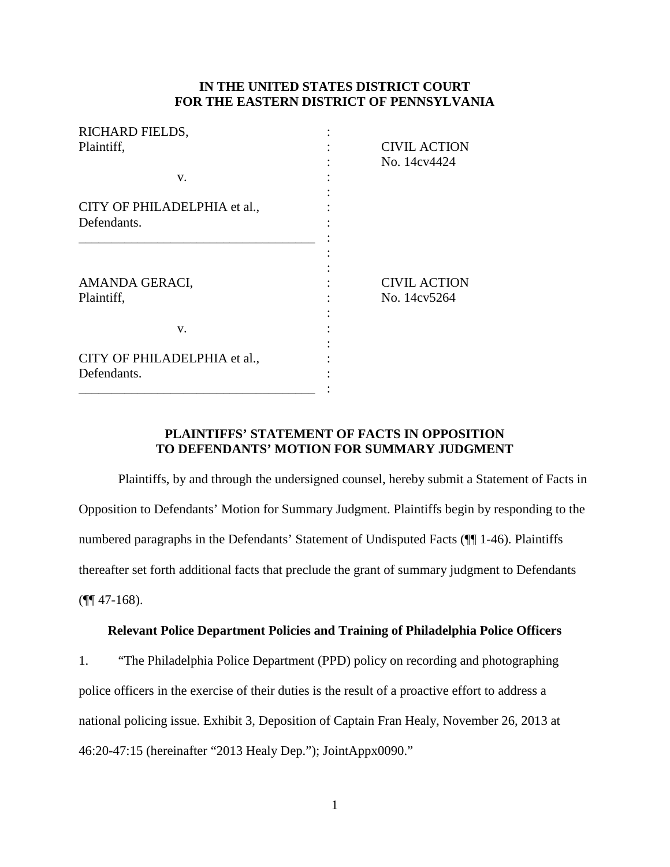# **IN THE UNITED STATES DISTRICT COURT FOR THE EASTERN DISTRICT OF PENNSYLVANIA**

| RICHARD FIELDS,                             |                                     |
|---------------------------------------------|-------------------------------------|
| Plaintiff,                                  | <b>CIVIL ACTION</b>                 |
|                                             | No. 14cv4424                        |
| V.                                          |                                     |
| CITY OF PHILADELPHIA et al.,                |                                     |
| Defendants.                                 |                                     |
| AMANDA GERACI,<br>Plaintiff,                | <b>CIVIL ACTION</b><br>No. 14cv5264 |
| V.                                          |                                     |
| CITY OF PHILADELPHIA et al.,<br>Defendants. |                                     |

# **PLAINTIFFS' STATEMENT OF FACTS IN OPPOSITION TO DEFENDANTS' MOTION FOR SUMMARY JUDGMENT**

Plaintiffs, by and through the undersigned counsel, hereby submit a Statement of Facts in Opposition to Defendants' Motion for Summary Judgment. Plaintiffs begin by responding to the numbered paragraphs in the Defendants' Statement of Undisputed Facts (¶¶ 1-46). Plaintiffs thereafter set forth additional facts that preclude the grant of summary judgment to Defendants  $(\P\P 47-168).$ 

# **Relevant Police Department Policies and Training of Philadelphia Police Officers**

1. "The Philadelphia Police Department (PPD) policy on recording and photographing police officers in the exercise of their duties is the result of a proactive effort to address a national policing issue. Exhibit 3, Deposition of Captain Fran Healy, November 26, 2013 at 46:20-47:15 (hereinafter "2013 Healy Dep."); JointAppx0090."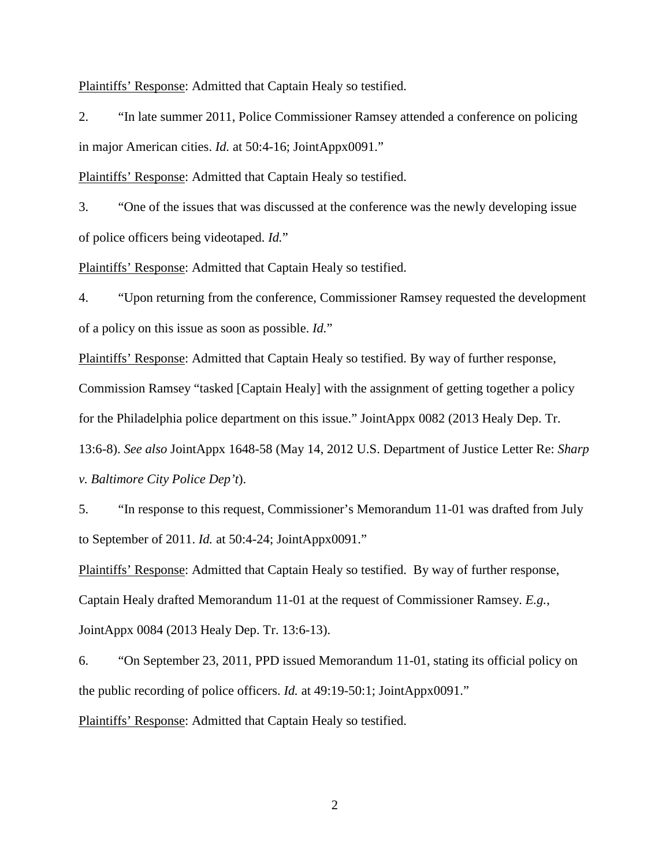Plaintiffs' Response: Admitted that Captain Healy so testified.

2. "In late summer 2011, Police Commissioner Ramsey attended a conference on policing in major American cities. *Id.* at 50:4-16; JointAppx0091."

Plaintiffs' Response: Admitted that Captain Healy so testified.

3. "One of the issues that was discussed at the conference was the newly developing issue of police officers being videotaped. *Id.*"

Plaintiffs' Response: Admitted that Captain Healy so testified.

4. "Upon returning from the conference, Commissioner Ramsey requested the development of a policy on this issue as soon as possible. *Id.*"

Plaintiffs' Response: Admitted that Captain Healy so testified. By way of further response, Commission Ramsey "tasked [Captain Healy] with the assignment of getting together a policy for the Philadelphia police department on this issue." JointAppx 0082 (2013 Healy Dep. Tr. 13:6-8). *See also* JointAppx 1648-58 (May 14, 2012 U.S. Department of Justice Letter Re: *Sharp v. Baltimore City Police Dep't*).

5. "In response to this request, Commissioner's Memorandum 11-01 was drafted from July to September of 2011. *Id.* at 50:4-24; JointAppx0091."

Plaintiffs' Response: Admitted that Captain Healy so testified. By way of further response, Captain Healy drafted Memorandum 11-01 at the request of Commissioner Ramsey. *E.g.*, JointAppx 0084 (2013 Healy Dep. Tr. 13:6-13).

6. "On September 23, 2011, PPD issued Memorandum 11-01, stating its official policy on the public recording of police officers. *Id.* at 49:19-50:1; JointAppx0091." Plaintiffs' Response: Admitted that Captain Healy so testified.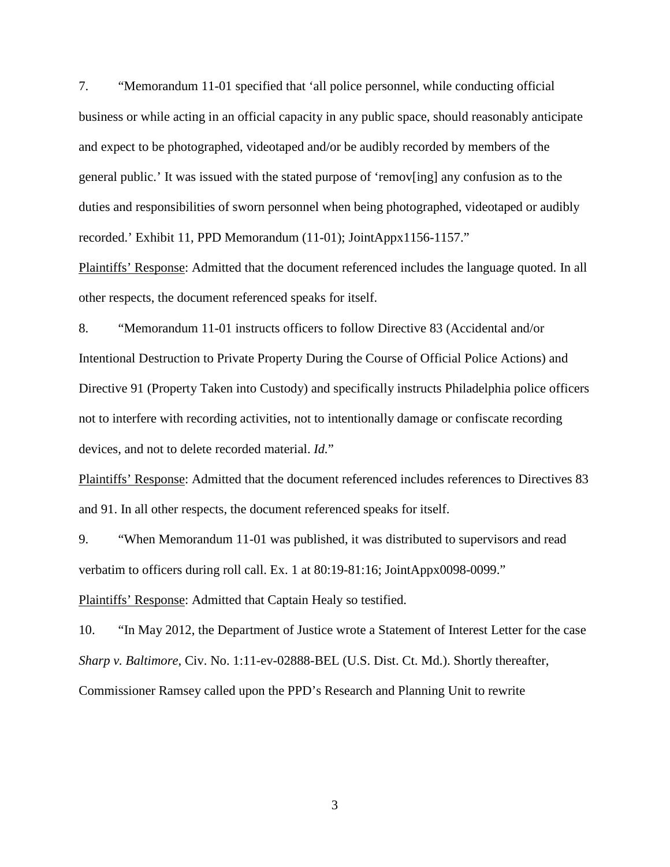7. "Memorandum 11-01 specified that 'all police personnel, while conducting official business or while acting in an official capacity in any public space, should reasonably anticipate and expect to be photographed, videotaped and/or be audibly recorded by members of the general public.' It was issued with the stated purpose of 'remov[ing] any confusion as to the duties and responsibilities of sworn personnel when being photographed, videotaped or audibly recorded.' Exhibit 11, PPD Memorandum (11-01); JointAppx1156-1157."

Plaintiffs' Response: Admitted that the document referenced includes the language quoted. In all other respects, the document referenced speaks for itself.

8. "Memorandum 11-01 instructs officers to follow Directive 83 (Accidental and/or Intentional Destruction to Private Property During the Course of Official Police Actions) and Directive 91 (Property Taken into Custody) and specifically instructs Philadelphia police officers not to interfere with recording activities, not to intentionally damage or confiscate recording devices, and not to delete recorded material. *Id.*"

Plaintiffs' Response: Admitted that the document referenced includes references to Directives 83 and 91. In all other respects, the document referenced speaks for itself.

9. "When Memorandum 11-01 was published, it was distributed to supervisors and read verbatim to officers during roll call. Ex. 1 at 80:19-81:16; JointAppx0098-0099."

Plaintiffs' Response: Admitted that Captain Healy so testified.

10. "In May 2012, the Department of Justice wrote a Statement of Interest Letter for the case *Sharp v. Baltimore*, Civ. No. 1:11-ev-02888-BEL (U.S. Dist. Ct. Md.). Shortly thereafter, Commissioner Ramsey called upon the PPD's Research and Planning Unit to rewrite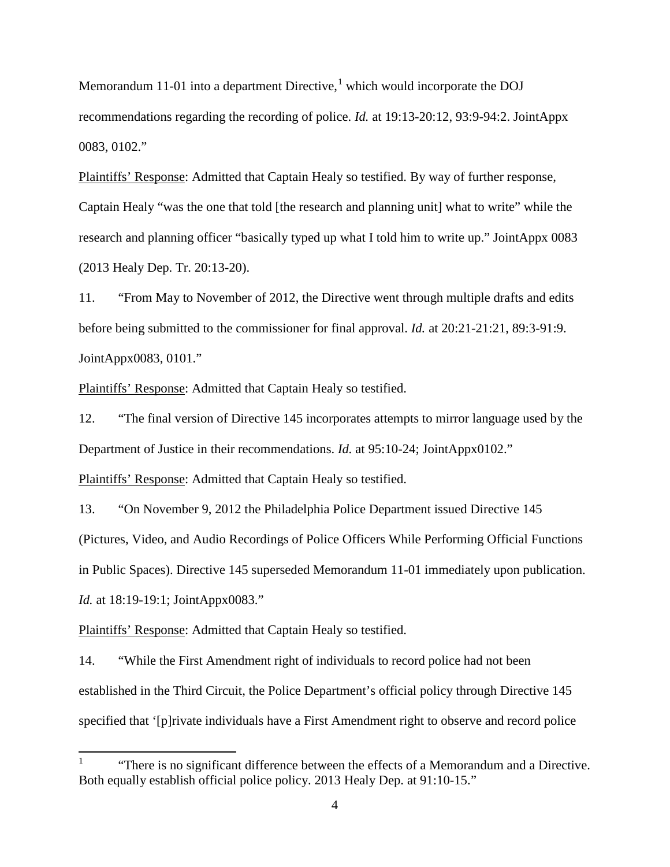Memorandum [1](#page-3-0)1-01 into a department Directive, $<sup>1</sup>$  which would incorporate the DOJ</sup> recommendations regarding the recording of police. *Id.* at 19:13-20:12, 93:9-94:2. JointAppx 0083, 0102."

Plaintiffs' Response: Admitted that Captain Healy so testified. By way of further response, Captain Healy "was the one that told [the research and planning unit] what to write" while the research and planning officer "basically typed up what I told him to write up." JointAppx 0083 (2013 Healy Dep. Tr. 20:13-20).

11. "From May to November of 2012, the Directive went through multiple drafts and edits before being submitted to the commissioner for final approval. *Id.* at 20:21-21:21, 89:3-91:9. JointAppx0083, 0101."

Plaintiffs' Response: Admitted that Captain Healy so testified.

12. "The final version of Directive 145 incorporates attempts to mirror language used by the Department of Justice in their recommendations. *Id.* at 95:10-24; JointAppx0102."

Plaintiffs' Response: Admitted that Captain Healy so testified.

13. "On November 9, 2012 the Philadelphia Police Department issued Directive 145 (Pictures, Video, and Audio Recordings of Police Officers While Performing Official Functions in Public Spaces). Directive 145 superseded Memorandum 11-01 immediately upon publication. *Id.* at 18:19-19:1; JointAppx0083."

Plaintiffs' Response: Admitted that Captain Healy so testified.

14. "While the First Amendment right of individuals to record police had not been established in the Third Circuit, the Police Department's official policy through Directive 145 specified that '[p]rivate individuals have a First Amendment right to observe and record police

<span id="page-3-0"></span><sup>&</sup>quot;There is no significant difference between the effects of a Memorandum and a Directive. Both equally establish official police policy. 2013 Healy Dep. at 91:10-15."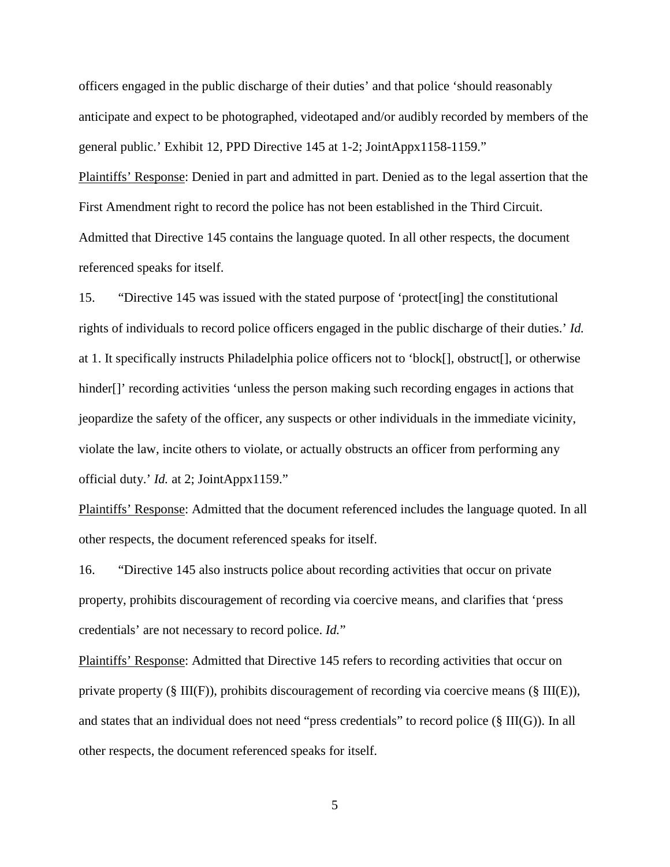officers engaged in the public discharge of their duties' and that police 'should reasonably anticipate and expect to be photographed, videotaped and/or audibly recorded by members of the general public.' Exhibit 12, PPD Directive 145 at 1-2; JointAppx1158-1159."

Plaintiffs' Response: Denied in part and admitted in part. Denied as to the legal assertion that the First Amendment right to record the police has not been established in the Third Circuit. Admitted that Directive 145 contains the language quoted. In all other respects, the document referenced speaks for itself.

15. "Directive 145 was issued with the stated purpose of 'protect[ing] the constitutional rights of individuals to record police officers engaged in the public discharge of their duties.' *Id.* at 1. It specifically instructs Philadelphia police officers not to 'block[], obstruct[], or otherwise hinder<sup>[]</sup>' recording activities 'unless the person making such recording engages in actions that jeopardize the safety of the officer, any suspects or other individuals in the immediate vicinity, violate the law, incite others to violate, or actually obstructs an officer from performing any official duty.' *Id.* at 2; JointAppx1159."

Plaintiffs' Response: Admitted that the document referenced includes the language quoted. In all other respects, the document referenced speaks for itself.

16. "Directive 145 also instructs police about recording activities that occur on private property, prohibits discouragement of recording via coercive means, and clarifies that 'press credentials' are not necessary to record police. *Id.*"

Plaintiffs' Response: Admitted that Directive 145 refers to recording activities that occur on private property (§ III(F)), prohibits discouragement of recording via coercive means (§ III(E)), and states that an individual does not need "press credentials" to record police (§ III(G)). In all other respects, the document referenced speaks for itself.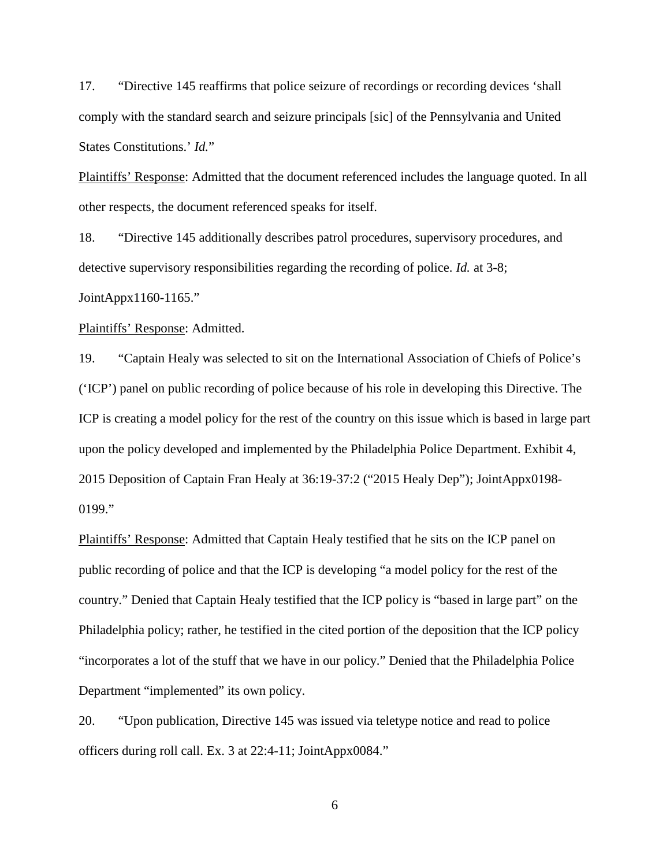17. "Directive 145 reaffirms that police seizure of recordings or recording devices 'shall comply with the standard search and seizure principals [sic] of the Pennsylvania and United States Constitutions.' *Id.*"

Plaintiffs' Response: Admitted that the document referenced includes the language quoted. In all other respects, the document referenced speaks for itself.

18. "Directive 145 additionally describes patrol procedures, supervisory procedures, and detective supervisory responsibilities regarding the recording of police. *Id.* at 3-8; JointAppx1160-1165."

Plaintiffs' Response: Admitted.

19. "Captain Healy was selected to sit on the International Association of Chiefs of Police's ('ICP') panel on public recording of police because of his role in developing this Directive. The ICP is creating a model policy for the rest of the country on this issue which is based in large part upon the policy developed and implemented by the Philadelphia Police Department. Exhibit 4, 2015 Deposition of Captain Fran Healy at 36:19-37:2 ("2015 Healy Dep"); JointAppx0198- 0199."

Plaintiffs' Response: Admitted that Captain Healy testified that he sits on the ICP panel on public recording of police and that the ICP is developing "a model policy for the rest of the country." Denied that Captain Healy testified that the ICP policy is "based in large part" on the Philadelphia policy; rather, he testified in the cited portion of the deposition that the ICP policy "incorporates a lot of the stuff that we have in our policy." Denied that the Philadelphia Police Department "implemented" its own policy.

20. "Upon publication, Directive 145 was issued via teletype notice and read to police officers during roll call. Ex. 3 at 22:4-11; JointAppx0084."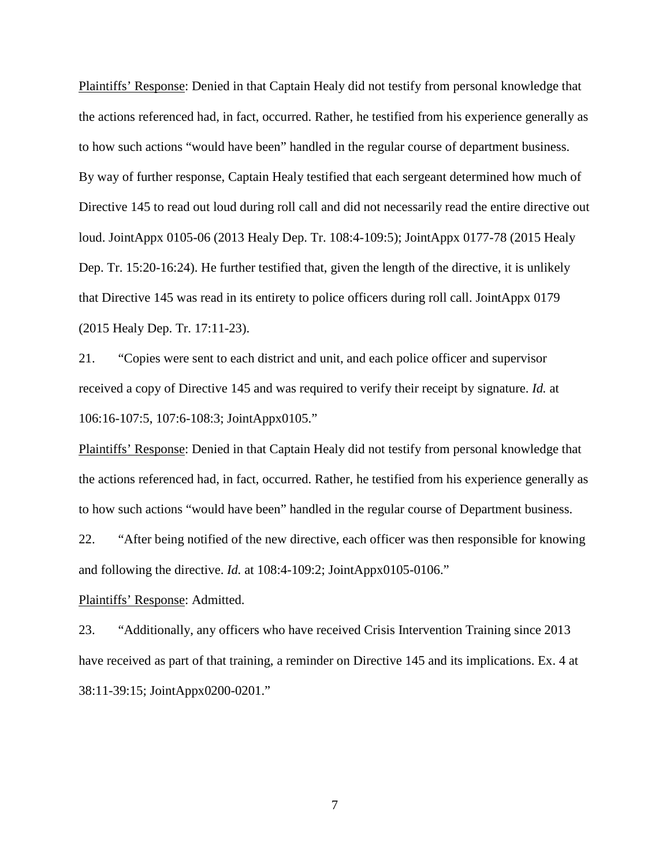Plaintiffs' Response: Denied in that Captain Healy did not testify from personal knowledge that the actions referenced had, in fact, occurred. Rather, he testified from his experience generally as to how such actions "would have been" handled in the regular course of department business. By way of further response, Captain Healy testified that each sergeant determined how much of Directive 145 to read out loud during roll call and did not necessarily read the entire directive out loud. JointAppx 0105-06 (2013 Healy Dep. Tr. 108:4-109:5); JointAppx 0177-78 (2015 Healy Dep. Tr. 15:20-16:24). He further testified that, given the length of the directive, it is unlikely that Directive 145 was read in its entirety to police officers during roll call. JointAppx 0179 (2015 Healy Dep. Tr. 17:11-23).

21. "Copies were sent to each district and unit, and each police officer and supervisor received a copy of Directive 145 and was required to verify their receipt by signature. *Id.* at 106:16-107:5, 107:6-108:3; JointAppx0105."

Plaintiffs' Response: Denied in that Captain Healy did not testify from personal knowledge that the actions referenced had, in fact, occurred. Rather, he testified from his experience generally as to how such actions "would have been" handled in the regular course of Department business.

22. "After being notified of the new directive, each officer was then responsible for knowing and following the directive. *Id.* at 108:4-109:2; JointAppx0105-0106."

# Plaintiffs' Response: Admitted.

23. "Additionally, any officers who have received Crisis Intervention Training since 2013 have received as part of that training, a reminder on Directive 145 and its implications. Ex. 4 at 38:11-39:15; JointAppx0200-0201."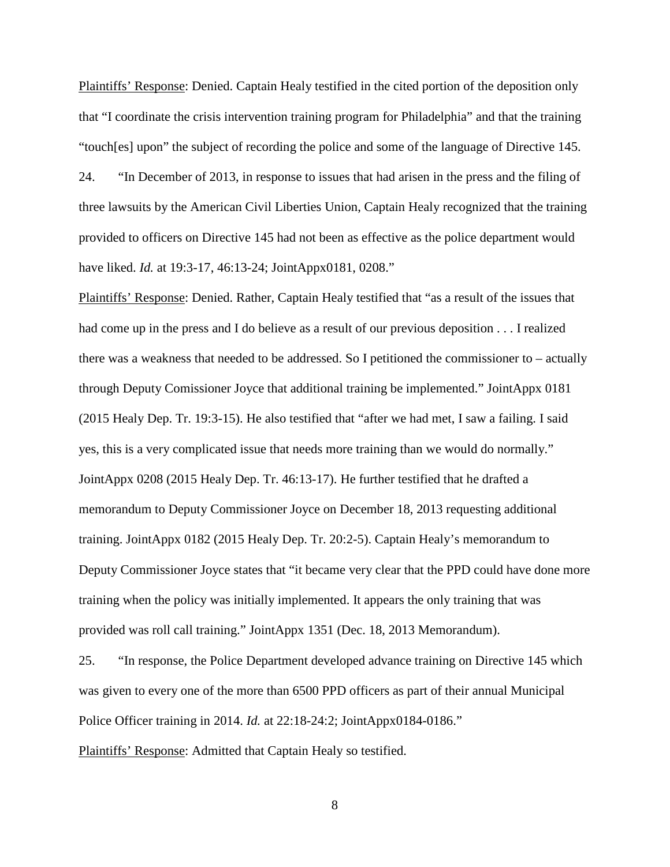Plaintiffs' Response: Denied. Captain Healy testified in the cited portion of the deposition only that "I coordinate the crisis intervention training program for Philadelphia" and that the training "touch[es] upon" the subject of recording the police and some of the language of Directive 145.

24. "In December of 2013, in response to issues that had arisen in the press and the filing of three lawsuits by the American Civil Liberties Union, Captain Healy recognized that the training provided to officers on Directive 145 had not been as effective as the police department would have liked. *Id.* at 19:3-17, 46:13-24; JointAppx0181, 0208."

Plaintiffs' Response: Denied. Rather, Captain Healy testified that "as a result of the issues that had come up in the press and I do believe as a result of our previous deposition . . . I realized there was a weakness that needed to be addressed. So I petitioned the commissioner to – actually through Deputy Comissioner Joyce that additional training be implemented." JointAppx 0181 (2015 Healy Dep. Tr. 19:3-15). He also testified that "after we had met, I saw a failing. I said yes, this is a very complicated issue that needs more training than we would do normally." JointAppx 0208 (2015 Healy Dep. Tr. 46:13-17). He further testified that he drafted a memorandum to Deputy Commissioner Joyce on December 18, 2013 requesting additional training. JointAppx 0182 (2015 Healy Dep. Tr. 20:2-5). Captain Healy's memorandum to Deputy Commissioner Joyce states that "it became very clear that the PPD could have done more training when the policy was initially implemented. It appears the only training that was provided was roll call training." JointAppx 1351 (Dec. 18, 2013 Memorandum).

25. "In response, the Police Department developed advance training on Directive 145 which was given to every one of the more than 6500 PPD officers as part of their annual Municipal Police Officer training in 2014. *Id.* at 22:18-24:2; JointAppx0184-0186." Plaintiffs' Response: Admitted that Captain Healy so testified.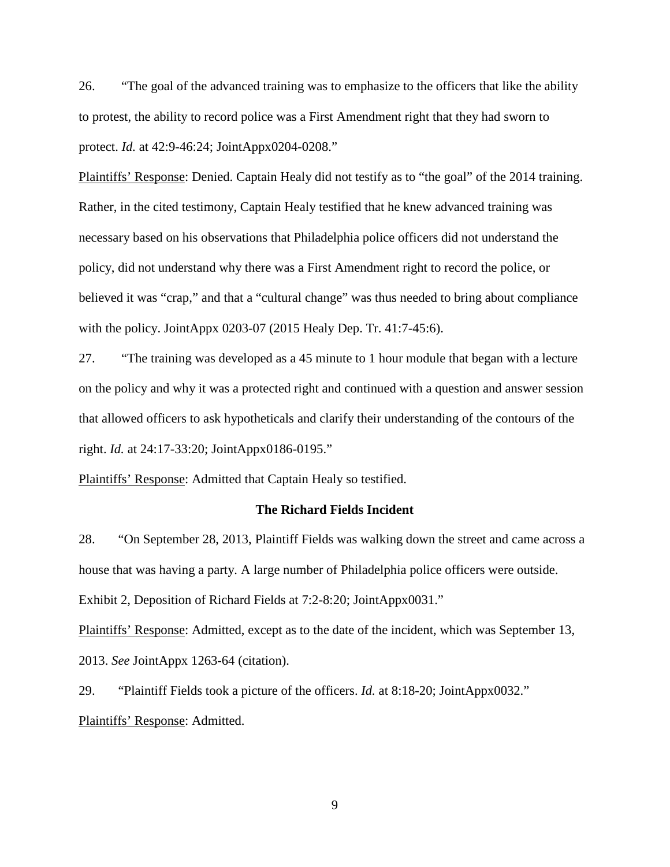26. "The goal of the advanced training was to emphasize to the officers that like the ability to protest, the ability to record police was a First Amendment right that they had sworn to protect. *Id.* at 42:9-46:24; JointAppx0204-0208."

Plaintiffs' Response: Denied. Captain Healy did not testify as to "the goal" of the 2014 training. Rather, in the cited testimony, Captain Healy testified that he knew advanced training was necessary based on his observations that Philadelphia police officers did not understand the policy, did not understand why there was a First Amendment right to record the police, or believed it was "crap," and that a "cultural change" was thus needed to bring about compliance with the policy. JointAppx 0203-07 (2015 Healy Dep. Tr. 41:7-45:6).

27. "The training was developed as a 45 minute to 1 hour module that began with a lecture on the policy and why it was a protected right and continued with a question and answer session that allowed officers to ask hypotheticals and clarify their understanding of the contours of the right. *Id.* at 24:17-33:20; JointAppx0186-0195."

Plaintiffs' Response: Admitted that Captain Healy so testified.

### **The Richard Fields Incident**

28. "On September 28, 2013, Plaintiff Fields was walking down the street and came across a house that was having a party. A large number of Philadelphia police officers were outside. Exhibit 2, Deposition of Richard Fields at 7:2-8:20; JointAppx0031."

Plaintiffs' Response: Admitted, except as to the date of the incident, which was September 13, 2013. *See* JointAppx 1263-64 (citation).

29. "Plaintiff Fields took a picture of the officers. *Id.* at 8:18-20; JointAppx0032." Plaintiffs' Response: Admitted.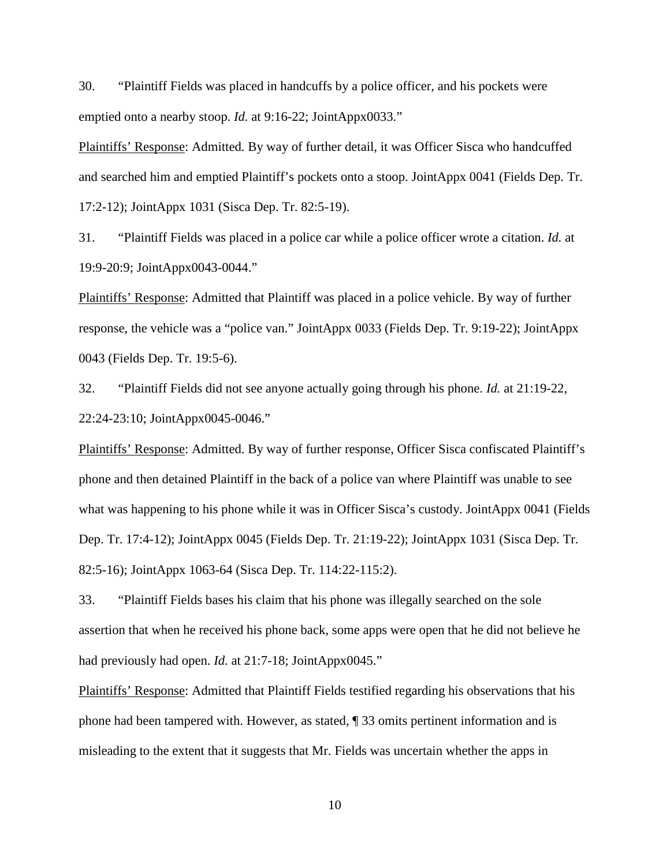30. "Plaintiff Fields was placed in handcuffs by a police officer, and his pockets were emptied onto a nearby stoop. *Id.* at 9:16-22; JointAppx0033."

Plaintiffs' Response: Admitted. By way of further detail, it was Officer Sisca who handcuffed and searched him and emptied Plaintiff's pockets onto a stoop. JointAppx 0041 (Fields Dep. Tr. 17:2-12); JointAppx 1031 (Sisca Dep. Tr. 82:5-19).

31. "Plaintiff Fields was placed in a police car while a police officer wrote a citation. *Id.* at 19:9-20:9; JointAppx0043-0044."

Plaintiffs' Response: Admitted that Plaintiff was placed in a police vehicle. By way of further response, the vehicle was a "police van." JointAppx 0033 (Fields Dep. Tr. 9:19-22); JointAppx 0043 (Fields Dep. Tr. 19:5-6).

32. "Plaintiff Fields did not see anyone actually going through his phone. *Id.* at 21:19-22, 22:24-23:10; JointAppx0045-0046."

Plaintiffs' Response: Admitted. By way of further response, Officer Sisca confiscated Plaintiff's phone and then detained Plaintiff in the back of a police van where Plaintiff was unable to see what was happening to his phone while it was in Officer Sisca's custody. JointAppx 0041 (Fields Dep. Tr. 17:4-12); JointAppx 0045 (Fields Dep. Tr. 21:19-22); JointAppx 1031 (Sisca Dep. Tr. 82:5-16); JointAppx 1063-64 (Sisca Dep. Tr. 114:22-115:2).

33. "Plaintiff Fields bases his claim that his phone was illegally searched on the sole assertion that when he received his phone back, some apps were open that he did not believe he had previously had open. *Id.* at 21:7-18; JointAppx0045."

Plaintiffs' Response: Admitted that Plaintiff Fields testified regarding his observations that his phone had been tampered with. However, as stated, ¶ 33 omits pertinent information and is misleading to the extent that it suggests that Mr. Fields was uncertain whether the apps in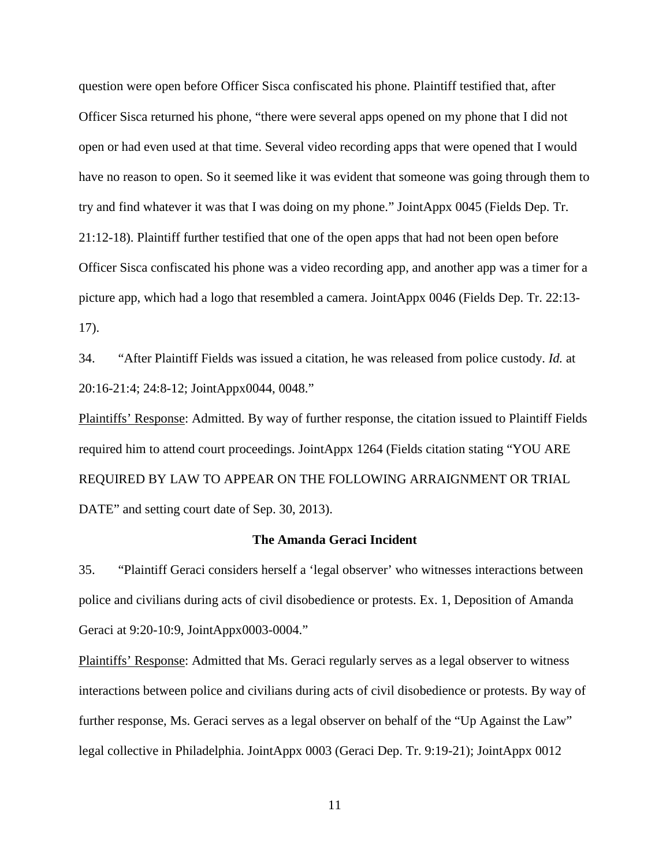question were open before Officer Sisca confiscated his phone. Plaintiff testified that, after Officer Sisca returned his phone, "there were several apps opened on my phone that I did not open or had even used at that time. Several video recording apps that were opened that I would have no reason to open. So it seemed like it was evident that someone was going through them to try and find whatever it was that I was doing on my phone." JointAppx 0045 (Fields Dep. Tr. 21:12-18). Plaintiff further testified that one of the open apps that had not been open before Officer Sisca confiscated his phone was a video recording app, and another app was a timer for a picture app, which had a logo that resembled a camera. JointAppx 0046 (Fields Dep. Tr. 22:13- 17).

34. "After Plaintiff Fields was issued a citation, he was released from police custody. *Id.* at 20:16-21:4; 24:8-12; JointAppx0044, 0048."

Plaintiffs' Response: Admitted. By way of further response, the citation issued to Plaintiff Fields required him to attend court proceedings. JointAppx 1264 (Fields citation stating "YOU ARE REQUIRED BY LAW TO APPEAR ON THE FOLLOWING ARRAIGNMENT OR TRIAL DATE" and setting court date of Sep. 30, 2013).

## **The Amanda Geraci Incident**

35. "Plaintiff Geraci considers herself a 'legal observer' who witnesses interactions between police and civilians during acts of civil disobedience or protests. Ex. 1, Deposition of Amanda Geraci at 9:20-10:9, JointAppx0003-0004."

Plaintiffs' Response: Admitted that Ms. Geraci regularly serves as a legal observer to witness interactions between police and civilians during acts of civil disobedience or protests. By way of further response, Ms. Geraci serves as a legal observer on behalf of the "Up Against the Law" legal collective in Philadelphia. JointAppx 0003 (Geraci Dep. Tr. 9:19-21); JointAppx 0012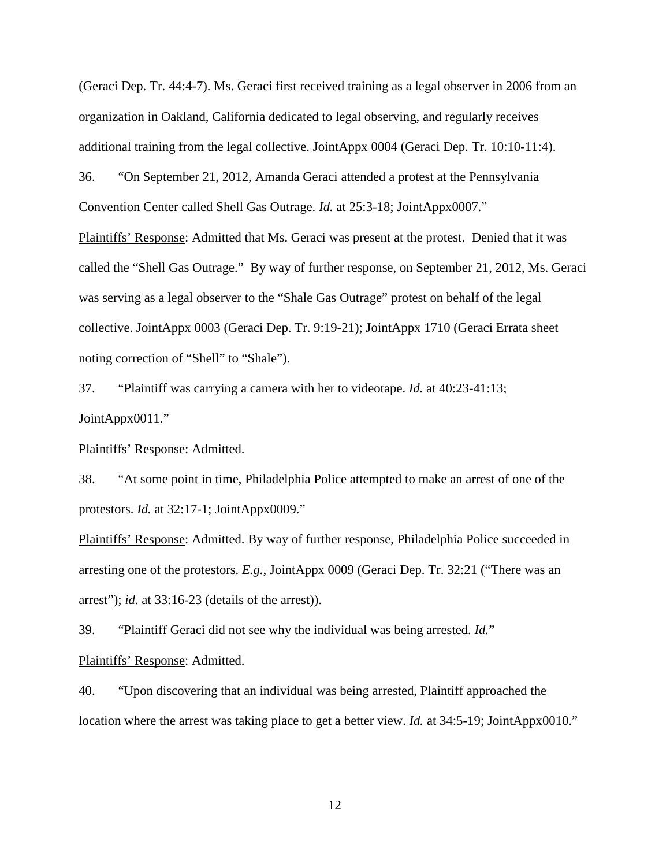(Geraci Dep. Tr. 44:4-7). Ms. Geraci first received training as a legal observer in 2006 from an organization in Oakland, California dedicated to legal observing, and regularly receives additional training from the legal collective. JointAppx 0004 (Geraci Dep. Tr. 10:10-11:4).

36. "On September 21, 2012, Amanda Geraci attended a protest at the Pennsylvania Convention Center called Shell Gas Outrage. *Id.* at 25:3-18; JointAppx0007."

Plaintiffs' Response: Admitted that Ms. Geraci was present at the protest. Denied that it was called the "Shell Gas Outrage." By way of further response, on September 21, 2012, Ms. Geraci was serving as a legal observer to the "Shale Gas Outrage" protest on behalf of the legal collective. JointAppx 0003 (Geraci Dep. Tr. 9:19-21); JointAppx 1710 (Geraci Errata sheet noting correction of "Shell" to "Shale").

37. "Plaintiff was carrying a camera with her to videotape. *Id.* at 40:23-41:13; JointAppx0011."

Plaintiffs' Response: Admitted.

38. "At some point in time, Philadelphia Police attempted to make an arrest of one of the protestors. *Id.* at 32:17-1; JointAppx0009."

Plaintiffs' Response: Admitted. By way of further response, Philadelphia Police succeeded in arresting one of the protestors. *E.g.*, JointAppx 0009 (Geraci Dep. Tr. 32:21 ("There was an arrest"); *id.* at 33:16-23 (details of the arrest)).

39. "Plaintiff Geraci did not see why the individual was being arrested. *Id.*" Plaintiffs' Response: Admitted.

40. "Upon discovering that an individual was being arrested, Plaintiff approached the location where the arrest was taking place to get a better view. *Id.* at 34:5-19; JointAppx0010."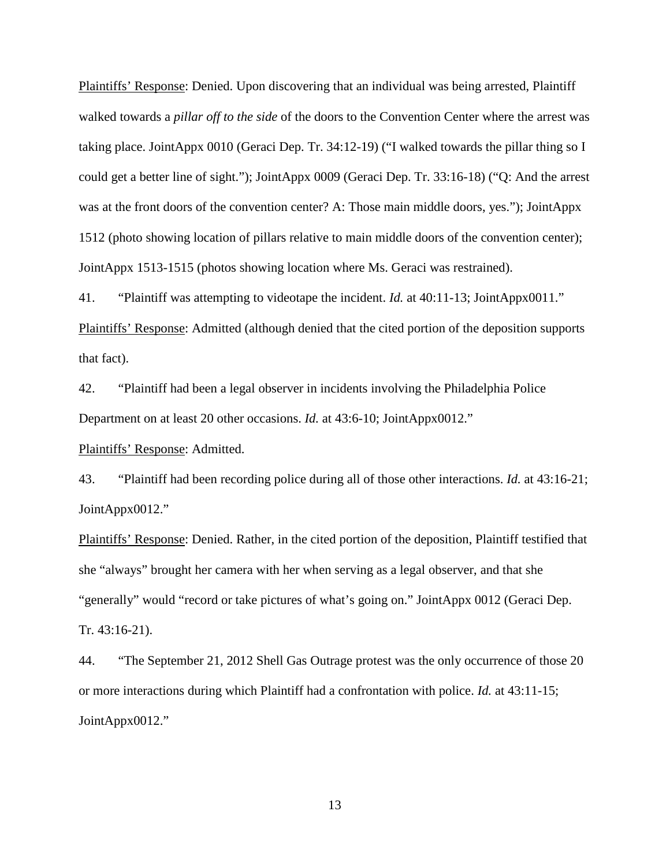Plaintiffs' Response: Denied. Upon discovering that an individual was being arrested, Plaintiff walked towards a *pillar off to the side* of the doors to the Convention Center where the arrest was taking place. JointAppx 0010 (Geraci Dep. Tr. 34:12-19) ("I walked towards the pillar thing so I could get a better line of sight."); JointAppx 0009 (Geraci Dep. Tr. 33:16-18) ("Q: And the arrest was at the front doors of the convention center? A: Those main middle doors, yes."); JointAppx 1512 (photo showing location of pillars relative to main middle doors of the convention center); JointAppx 1513-1515 (photos showing location where Ms. Geraci was restrained).

41. "Plaintiff was attempting to videotape the incident. *Id.* at 40:11-13; JointAppx0011." Plaintiffs' Response: Admitted (although denied that the cited portion of the deposition supports that fact).

42. "Plaintiff had been a legal observer in incidents involving the Philadelphia Police Department on at least 20 other occasions. *Id.* at 43:6-10; JointAppx0012."

Plaintiffs' Response: Admitted.

43. "Plaintiff had been recording police during all of those other interactions. *Id.* at 43:16-21; JointAppx0012."

Plaintiffs' Response: Denied. Rather, in the cited portion of the deposition, Plaintiff testified that she "always" brought her camera with her when serving as a legal observer, and that she "generally" would "record or take pictures of what's going on." JointAppx 0012 (Geraci Dep. Tr. 43:16-21).

44. "The September 21, 2012 Shell Gas Outrage protest was the only occurrence of those 20 or more interactions during which Plaintiff had a confrontation with police. *Id.* at 43:11-15; JointAppx0012."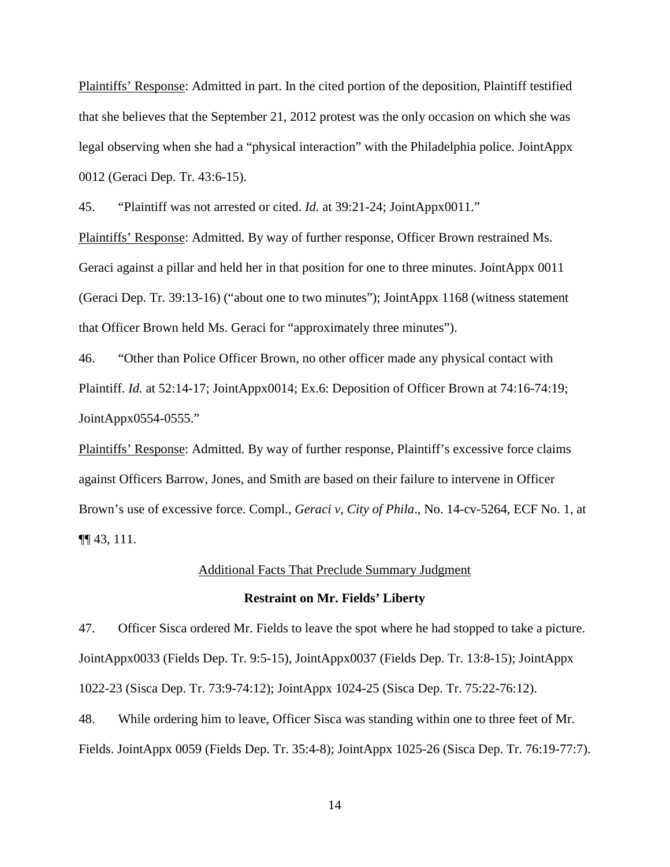Plaintiffs' Response: Admitted in part. In the cited portion of the deposition, Plaintiff testified that she believes that the September 21, 2012 protest was the only occasion on which she was legal observing when she had a "physical interaction" with the Philadelphia police. JointAppx 0012 (Geraci Dep. Tr. 43:6-15).

45. "Plaintiff was not arrested or cited. *Id.* at 39:21-24; JointAppx0011."

Plaintiffs' Response: Admitted. By way of further response, Officer Brown restrained Ms. Geraci against a pillar and held her in that position for one to three minutes. JointAppx 0011 (Geraci Dep. Tr. 39:13-16) ("about one to two minutes"); JointAppx 1168 (witness statement that Officer Brown held Ms. Geraci for "approximately three minutes").

46. "Other than Police Officer Brown, no other officer made any physical contact with Plaintiff. *Id.* at 52:14-17; JointAppx0014; Ex.6: Deposition of Officer Brown at 74:16-74:19; JointAppx0554-0555."

Plaintiffs' Response: Admitted. By way of further response, Plaintiff's excessive force claims against Officers Barrow, Jones, and Smith are based on their failure to intervene in Officer Brown's use of excessive force. Compl., *Geraci v, City of Phila*., No. 14-cv-5264, ECF No. 1, at ¶¶ 43, 111.

#### Additional Facts That Preclude Summary Judgment

#### **Restraint on Mr. Fields' Liberty**

47. Officer Sisca ordered Mr. Fields to leave the spot where he had stopped to take a picture. JointAppx0033 (Fields Dep. Tr. 9:5-15), JointAppx0037 (Fields Dep. Tr. 13:8-15); JointAppx 1022-23 (Sisca Dep. Tr. 73:9-74:12); JointAppx 1024-25 (Sisca Dep. Tr. 75:22-76:12).

48. While ordering him to leave, Officer Sisca was standing within one to three feet of Mr. Fields. JointAppx 0059 (Fields Dep. Tr. 35:4-8); JointAppx 1025-26 (Sisca Dep. Tr. 76:19-77:7).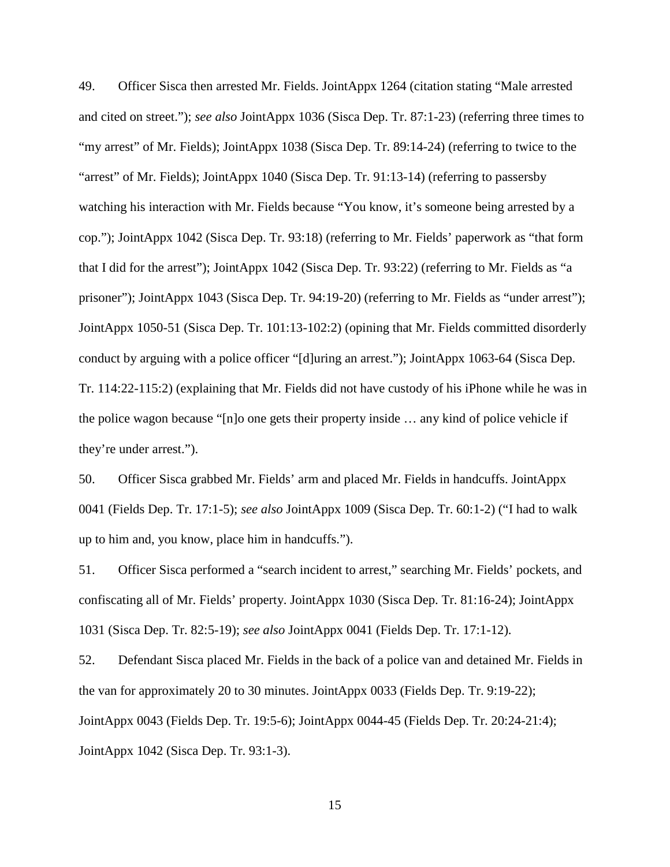49. Officer Sisca then arrested Mr. Fields. JointAppx 1264 (citation stating "Male arrested and cited on street."); *see also* JointAppx 1036 (Sisca Dep. Tr. 87:1-23) (referring three times to "my arrest" of Mr. Fields); JointAppx 1038 (Sisca Dep. Tr. 89:14-24) (referring to twice to the "arrest" of Mr. Fields); JointAppx 1040 (Sisca Dep. Tr. 91:13-14) (referring to passersby watching his interaction with Mr. Fields because "You know, it's someone being arrested by a cop."); JointAppx 1042 (Sisca Dep. Tr. 93:18) (referring to Mr. Fields' paperwork as "that form that I did for the arrest"); JointAppx 1042 (Sisca Dep. Tr. 93:22) (referring to Mr. Fields as "a prisoner"); JointAppx 1043 (Sisca Dep. Tr. 94:19-20) (referring to Mr. Fields as "under arrest"); JointAppx 1050-51 (Sisca Dep. Tr. 101:13-102:2) (opining that Mr. Fields committed disorderly conduct by arguing with a police officer "[d]uring an arrest."); JointAppx 1063-64 (Sisca Dep. Tr. 114:22-115:2) (explaining that Mr. Fields did not have custody of his iPhone while he was in the police wagon because "[n]o one gets their property inside … any kind of police vehicle if they're under arrest.").

50. Officer Sisca grabbed Mr. Fields' arm and placed Mr. Fields in handcuffs. JointAppx 0041 (Fields Dep. Tr. 17:1-5); *see also* JointAppx 1009 (Sisca Dep. Tr. 60:1-2) ("I had to walk up to him and, you know, place him in handcuffs.").

51. Officer Sisca performed a "search incident to arrest," searching Mr. Fields' pockets, and confiscating all of Mr. Fields' property. JointAppx 1030 (Sisca Dep. Tr. 81:16-24); JointAppx 1031 (Sisca Dep. Tr. 82:5-19); *see also* JointAppx 0041 (Fields Dep. Tr. 17:1-12).

52. Defendant Sisca placed Mr. Fields in the back of a police van and detained Mr. Fields in the van for approximately 20 to 30 minutes. JointAppx 0033 (Fields Dep. Tr. 9:19-22); JointAppx 0043 (Fields Dep. Tr. 19:5-6); JointAppx 0044-45 (Fields Dep. Tr. 20:24-21:4); JointAppx 1042 (Sisca Dep. Tr. 93:1-3).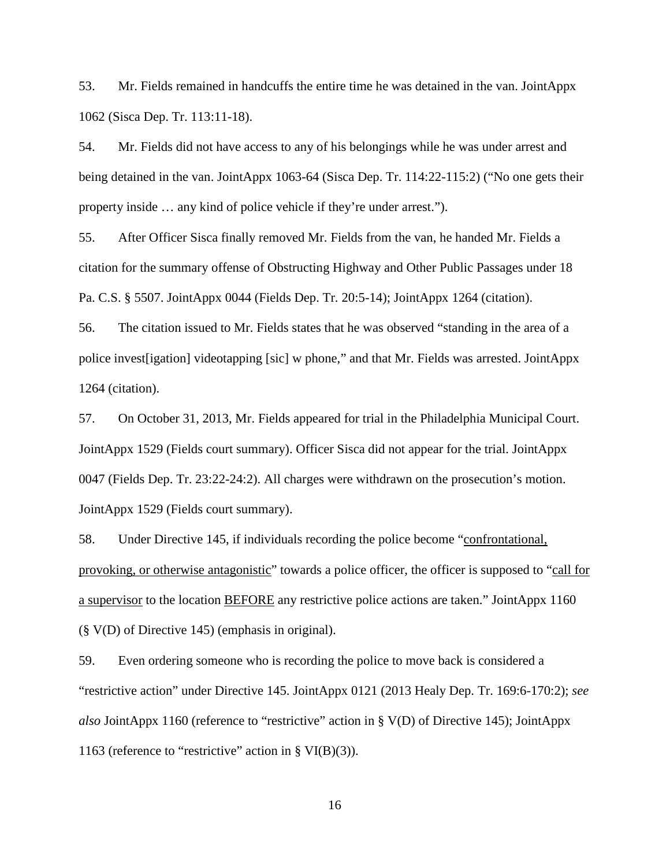53. Mr. Fields remained in handcuffs the entire time he was detained in the van. JointAppx 1062 (Sisca Dep. Tr. 113:11-18).

54. Mr. Fields did not have access to any of his belongings while he was under arrest and being detained in the van. JointAppx 1063-64 (Sisca Dep. Tr. 114:22-115:2) ("No one gets their property inside … any kind of police vehicle if they're under arrest.").

55. After Officer Sisca finally removed Mr. Fields from the van, he handed Mr. Fields a citation for the summary offense of Obstructing Highway and Other Public Passages under 18 Pa. C.S. § 5507. JointAppx 0044 (Fields Dep. Tr. 20:5-14); JointAppx 1264 (citation).

56. The citation issued to Mr. Fields states that he was observed "standing in the area of a police invest[igation] videotapping [sic] w phone," and that Mr. Fields was arrested. JointAppx 1264 (citation).

57. On October 31, 2013, Mr. Fields appeared for trial in the Philadelphia Municipal Court. JointAppx 1529 (Fields court summary). Officer Sisca did not appear for the trial. JointAppx 0047 (Fields Dep. Tr. 23:22-24:2). All charges were withdrawn on the prosecution's motion. JointAppx 1529 (Fields court summary).

58. Under Directive 145, if individuals recording the police become "confrontational, provoking, or otherwise antagonistic" towards a police officer, the officer is supposed to "call for a supervisor to the location BEFORE any restrictive police actions are taken." JointAppx 1160 (§ V(D) of Directive 145) (emphasis in original).

59. Even ordering someone who is recording the police to move back is considered a "restrictive action" under Directive 145. JointAppx 0121 (2013 Healy Dep. Tr. 169:6-170:2); *see also* JointAppx 1160 (reference to "restrictive" action in § V(D) of Directive 145); JointAppx 1163 (reference to "restrictive" action in  $\S$  VI(B)(3)).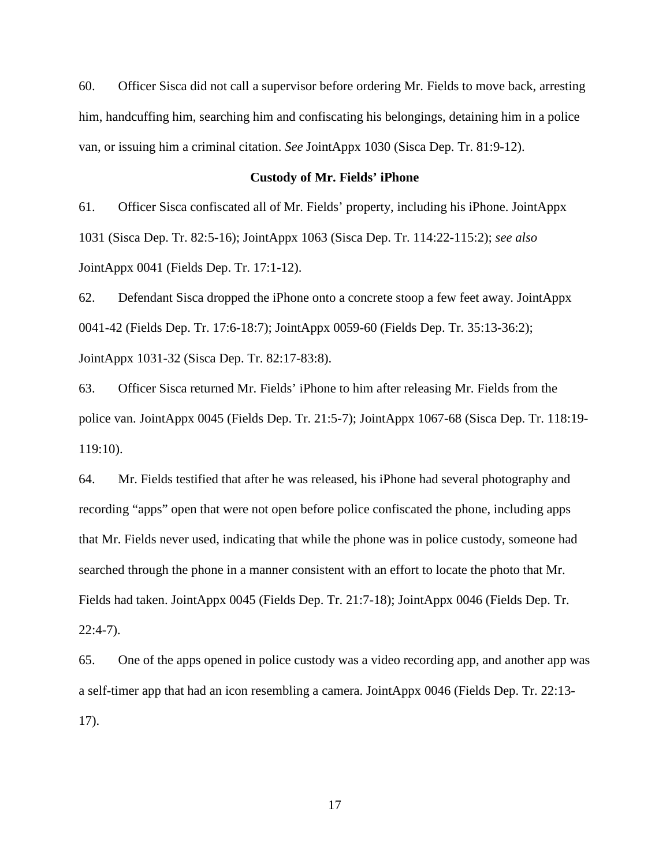60. Officer Sisca did not call a supervisor before ordering Mr. Fields to move back, arresting him, handcuffing him, searching him and confiscating his belongings, detaining him in a police van, or issuing him a criminal citation. *See* JointAppx 1030 (Sisca Dep. Tr. 81:9-12).

## **Custody of Mr. Fields' iPhone**

61. Officer Sisca confiscated all of Mr. Fields' property, including his iPhone. JointAppx 1031 (Sisca Dep. Tr. 82:5-16); JointAppx 1063 (Sisca Dep. Tr. 114:22-115:2); *see also* JointAppx 0041 (Fields Dep. Tr. 17:1-12).

62. Defendant Sisca dropped the iPhone onto a concrete stoop a few feet away. JointAppx 0041-42 (Fields Dep. Tr. 17:6-18:7); JointAppx 0059-60 (Fields Dep. Tr. 35:13-36:2); JointAppx 1031-32 (Sisca Dep. Tr. 82:17-83:8).

63. Officer Sisca returned Mr. Fields' iPhone to him after releasing Mr. Fields from the police van. JointAppx 0045 (Fields Dep. Tr. 21:5-7); JointAppx 1067-68 (Sisca Dep. Tr. 118:19- 119:10).

64. Mr. Fields testified that after he was released, his iPhone had several photography and recording "apps" open that were not open before police confiscated the phone, including apps that Mr. Fields never used, indicating that while the phone was in police custody, someone had searched through the phone in a manner consistent with an effort to locate the photo that Mr. Fields had taken. JointAppx 0045 (Fields Dep. Tr. 21:7-18); JointAppx 0046 (Fields Dep. Tr. 22:4-7).

65. One of the apps opened in police custody was a video recording app, and another app was a self-timer app that had an icon resembling a camera. JointAppx 0046 (Fields Dep. Tr. 22:13- 17).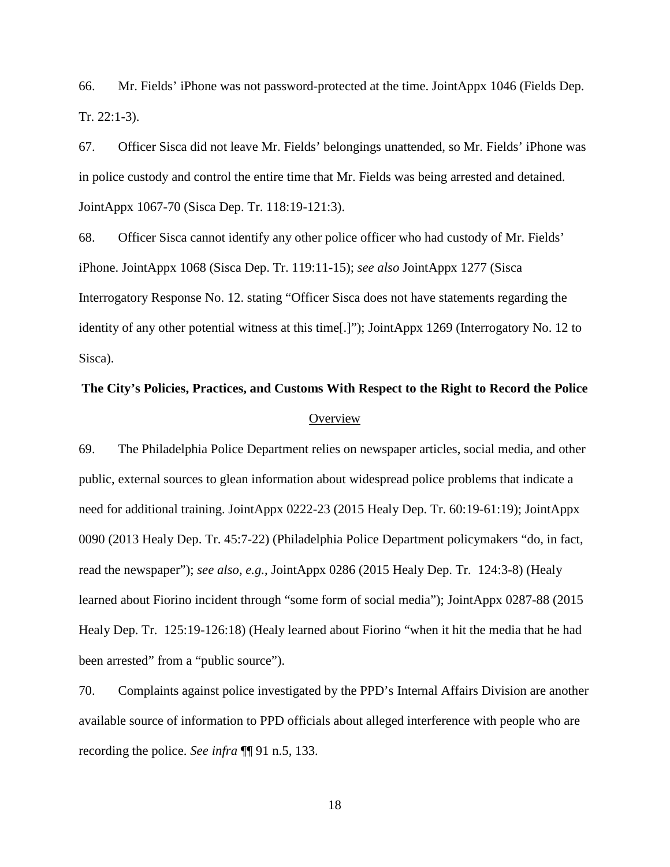66. Mr. Fields' iPhone was not password-protected at the time. JointAppx 1046 (Fields Dep. Tr. 22:1-3).

67. Officer Sisca did not leave Mr. Fields' belongings unattended, so Mr. Fields' iPhone was in police custody and control the entire time that Mr. Fields was being arrested and detained. JointAppx 1067-70 (Sisca Dep. Tr. 118:19-121:3).

68. Officer Sisca cannot identify any other police officer who had custody of Mr. Fields' iPhone. JointAppx 1068 (Sisca Dep. Tr. 119:11-15); *see also* JointAppx 1277 (Sisca Interrogatory Response No. 12. stating "Officer Sisca does not have statements regarding the identity of any other potential witness at this time[.]"); JointAppx 1269 (Interrogatory No. 12 to Sisca).

# **The City's Policies, Practices, and Customs With Respect to the Right to Record the Police Overview**

69. The Philadelphia Police Department relies on newspaper articles, social media, and other public, external sources to glean information about widespread police problems that indicate a need for additional training. JointAppx 0222-23 (2015 Healy Dep. Tr. 60:19-61:19); JointAppx 0090 (2013 Healy Dep. Tr. 45:7-22) (Philadelphia Police Department policymakers "do, in fact, read the newspaper"); *see also*, *e.g.*, JointAppx 0286 (2015 Healy Dep. Tr. 124:3-8) (Healy learned about Fiorino incident through "some form of social media"); JointAppx 0287-88 (2015 Healy Dep. Tr. 125:19-126:18) (Healy learned about Fiorino "when it hit the media that he had been arrested" from a "public source").

70. Complaints against police investigated by the PPD's Internal Affairs Division are another available source of information to PPD officials about alleged interference with people who are recording the police. *See infra* ¶¶ 91 n.5, 133.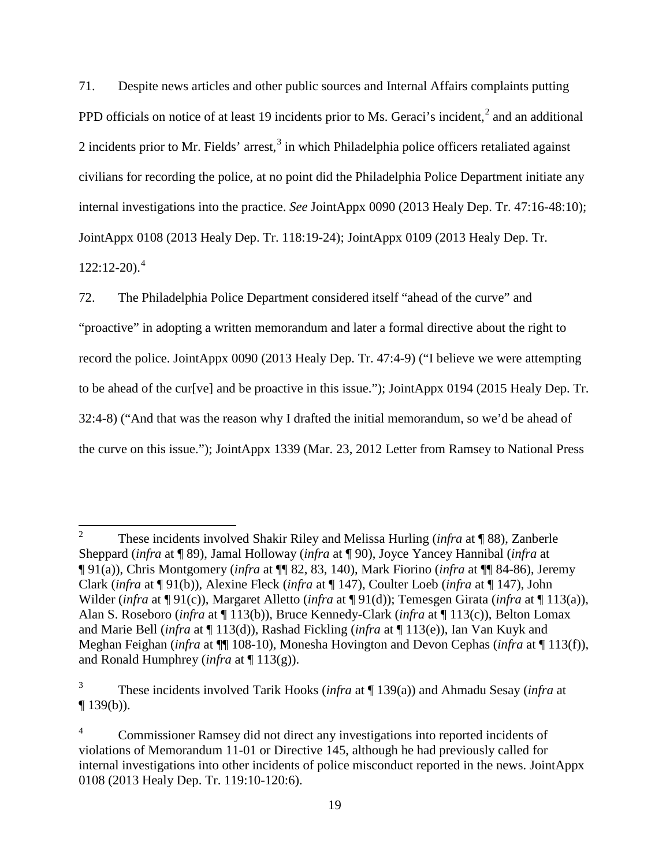71. Despite news articles and other public sources and Internal Affairs complaints putting PPD officials on notice of at least 19 incidents prior to Ms. Geraci's incident, $<sup>2</sup>$  $<sup>2</sup>$  $<sup>2</sup>$  and an additional</sup> 2 incidents prior to Mr. Fields' arrest,  $3$  in which Philadelphia police officers retaliated against civilians for recording the police, at no point did the Philadelphia Police Department initiate any internal investigations into the practice. *See* JointAppx 0090 (2013 Healy Dep. Tr. 47:16-48:10); JointAppx 0108 (2013 Healy Dep. Tr. 118:19-24); JointAppx 0109 (2013 Healy Dep. Tr.  $122:12-20$ .<sup>[4](#page-18-2)</sup>

72. The Philadelphia Police Department considered itself "ahead of the curve" and "proactive" in adopting a written memorandum and later a formal directive about the right to record the police. JointAppx 0090 (2013 Healy Dep. Tr. 47:4-9) ("I believe we were attempting to be ahead of the cur[ve] and be proactive in this issue."); JointAppx 0194 (2015 Healy Dep. Tr. 32:4-8) ("And that was the reason why I drafted the initial memorandum, so we'd be ahead of the curve on this issue."); JointAppx 1339 (Mar. 23, 2012 Letter from Ramsey to National Press

<span id="page-18-0"></span><sup>2</sup> These incidents involved Shakir Riley and Melissa Hurling (*infra* at ¶ 88), Zanberle Sheppard (*infra* at ¶ 89), Jamal Holloway (*infra* at ¶ 90), Joyce Yancey Hannibal (*infra* at ¶ 91(a)), Chris Montgomery (*infra* at ¶¶ 82, 83, 140), Mark Fiorino (*infra* at ¶¶ 84-86), Jeremy Clark (*infra* at ¶ 91(b)), Alexine Fleck (*infra* at ¶ 147), Coulter Loeb (*infra* at ¶ 147), John Wilder (*infra* at ¶ 91(c)), Margaret Alletto (*infra* at ¶ 91(d)); Temesgen Girata (*infra* at ¶ 113(a)), Alan S. Roseboro (*infra* at ¶ 113(b)), Bruce Kennedy-Clark (*infra* at ¶ 113(c)), Belton Lomax and Marie Bell (*infra* at ¶ 113(d)), Rashad Fickling (*infra* at ¶ 113(e)), Ian Van Kuyk and Meghan Feighan (*infra* at ¶¶ 108-10), Monesha Hovington and Devon Cephas (*infra* at ¶ 113(f)), and Ronald Humphrey (*infra* at ¶ 113(g)).

<span id="page-18-1"></span><sup>3</sup> These incidents involved Tarik Hooks (*infra* at ¶ 139(a)) and Ahmadu Sesay (*infra* at  $\P$  139(b)).

<span id="page-18-2"></span><sup>4</sup> Commissioner Ramsey did not direct any investigations into reported incidents of violations of Memorandum 11-01 or Directive 145, although he had previously called for internal investigations into other incidents of police misconduct reported in the news. JointAppx 0108 (2013 Healy Dep. Tr. 119:10-120:6).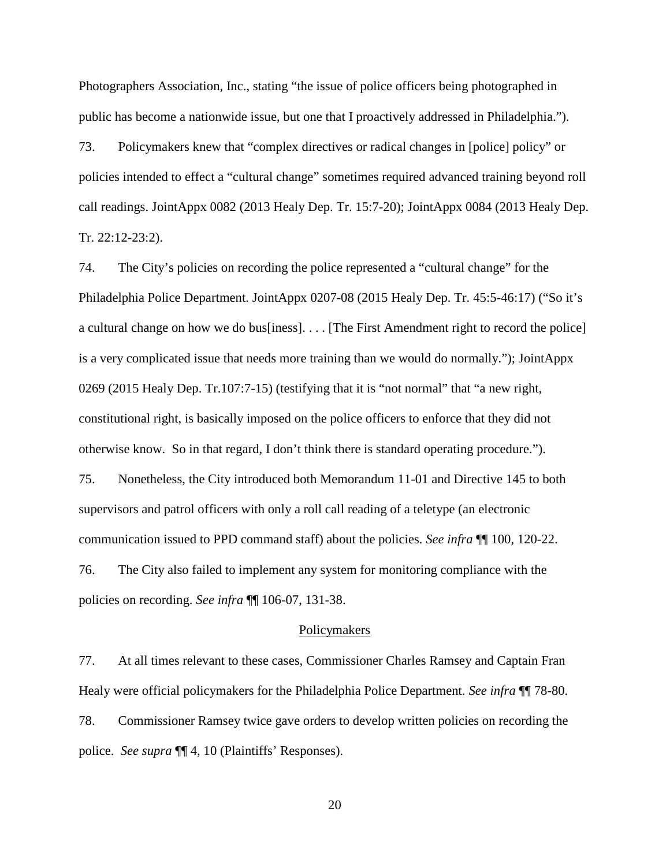Photographers Association, Inc., stating "the issue of police officers being photographed in public has become a nationwide issue, but one that I proactively addressed in Philadelphia.").

73. Policymakers knew that "complex directives or radical changes in [police] policy" or policies intended to effect a "cultural change" sometimes required advanced training beyond roll call readings. JointAppx 0082 (2013 Healy Dep. Tr. 15:7-20); JointAppx 0084 (2013 Healy Dep. Tr. 22:12-23:2).

74. The City's policies on recording the police represented a "cultural change" for the Philadelphia Police Department. JointAppx 0207-08 (2015 Healy Dep. Tr. 45:5-46:17) ("So it's a cultural change on how we do bus[iness]. . . . [The First Amendment right to record the police] is a very complicated issue that needs more training than we would do normally."); JointAppx 0269 (2015 Healy Dep. Tr.107:7-15) (testifying that it is "not normal" that "a new right, constitutional right, is basically imposed on the police officers to enforce that they did not otherwise know. So in that regard, I don't think there is standard operating procedure."). 75. Nonetheless, the City introduced both Memorandum 11-01 and Directive 145 to both supervisors and patrol officers with only a roll call reading of a teletype (an electronic communication issued to PPD command staff) about the policies. *See infra* ¶¶ 100, 120-22. 76. The City also failed to implement any system for monitoring compliance with the policies on recording. *See infra* ¶¶ 106-07, 131-38.

#### Policymakers

77. At all times relevant to these cases, Commissioner Charles Ramsey and Captain Fran Healy were official policymakers for the Philadelphia Police Department. *See infra* ¶¶ 78-80. 78. Commissioner Ramsey twice gave orders to develop written policies on recording the police. *See supra* ¶¶ 4, 10 (Plaintiffs' Responses).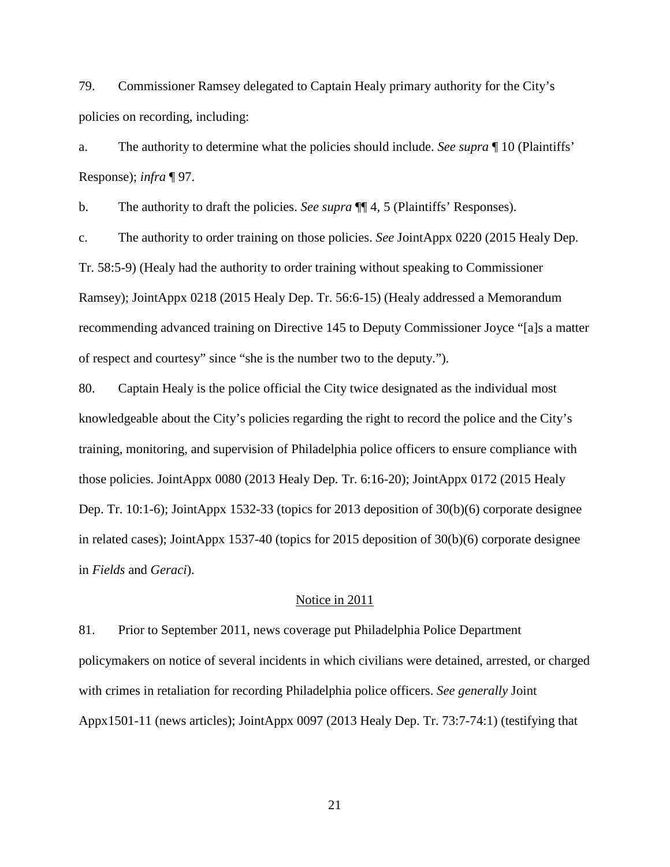79. Commissioner Ramsey delegated to Captain Healy primary authority for the City's policies on recording, including:

a. The authority to determine what the policies should include. *See supra* ¶ 10 (Plaintiffs' Response); *infra* ¶ 97.

b. The authority to draft the policies. *See supra* ¶¶ 4, 5 (Plaintiffs' Responses).

c. The authority to order training on those policies. *See* JointAppx 0220 (2015 Healy Dep. Tr. 58:5-9) (Healy had the authority to order training without speaking to Commissioner Ramsey); JointAppx 0218 (2015 Healy Dep. Tr. 56:6-15) (Healy addressed a Memorandum recommending advanced training on Directive 145 to Deputy Commissioner Joyce "[a]s a matter of respect and courtesy" since "she is the number two to the deputy.").

80. Captain Healy is the police official the City twice designated as the individual most knowledgeable about the City's policies regarding the right to record the police and the City's training, monitoring, and supervision of Philadelphia police officers to ensure compliance with those policies. JointAppx 0080 (2013 Healy Dep. Tr. 6:16-20); JointAppx 0172 (2015 Healy Dep. Tr. 10:1-6); JointAppx 1532-33 (topics for 2013 deposition of 30(b)(6) corporate designee in related cases); JointAppx 1537-40 (topics for 2015 deposition of 30(b)(6) corporate designee in *Fields* and *Geraci*).

#### Notice in 2011

81. Prior to September 2011, news coverage put Philadelphia Police Department policymakers on notice of several incidents in which civilians were detained, arrested, or charged with crimes in retaliation for recording Philadelphia police officers. *See generally* Joint Appx1501-11 (news articles); JointAppx 0097 (2013 Healy Dep. Tr. 73:7-74:1) (testifying that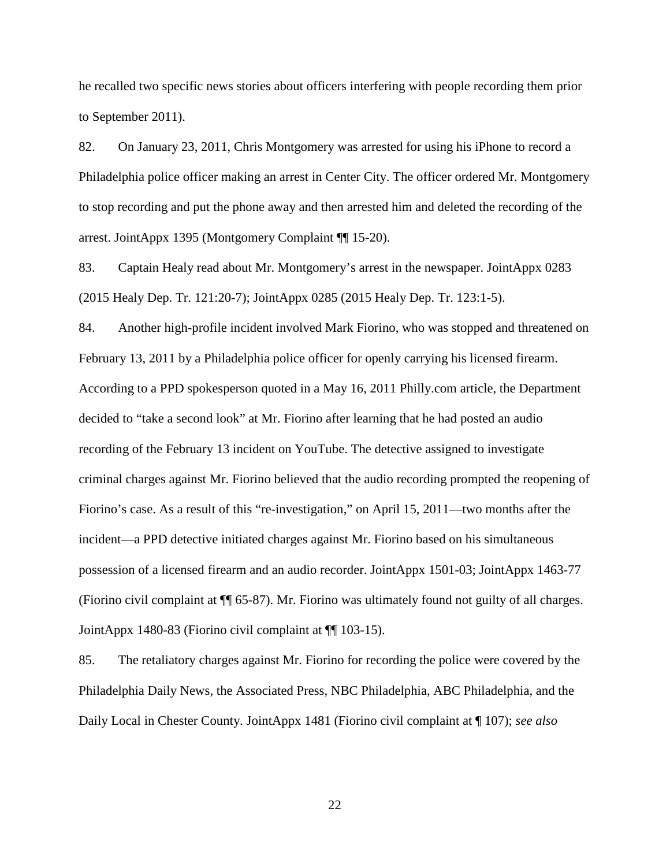he recalled two specific news stories about officers interfering with people recording them prior to September 2011).

82. On January 23, 2011, Chris Montgomery was arrested for using his iPhone to record a Philadelphia police officer making an arrest in Center City. The officer ordered Mr. Montgomery to stop recording and put the phone away and then arrested him and deleted the recording of the arrest. JointAppx 1395 (Montgomery Complaint ¶¶ 15-20).

83. Captain Healy read about Mr. Montgomery's arrest in the newspaper. JointAppx 0283 (2015 Healy Dep. Tr. 121:20-7); JointAppx 0285 (2015 Healy Dep. Tr. 123:1-5).

84. Another high-profile incident involved Mark Fiorino, who was stopped and threatened on February 13, 2011 by a Philadelphia police officer for openly carrying his licensed firearm. According to a PPD spokesperson quoted in a May 16, 2011 Philly.com article, the Department decided to "take a second look" at Mr. Fiorino after learning that he had posted an audio recording of the February 13 incident on YouTube. The detective assigned to investigate criminal charges against Mr. Fiorino believed that the audio recording prompted the reopening of Fiorino's case. As a result of this "re-investigation," on April 15, 2011—two months after the incident—a PPD detective initiated charges against Mr. Fiorino based on his simultaneous possession of a licensed firearm and an audio recorder. JointAppx 1501-03; JointAppx 1463-77 (Fiorino civil complaint at ¶¶ 65-87). Mr. Fiorino was ultimately found not guilty of all charges. JointAppx 1480-83 (Fiorino civil complaint at ¶¶ 103-15).

85. The retaliatory charges against Mr. Fiorino for recording the police were covered by the Philadelphia Daily News, the Associated Press, NBC Philadelphia, ABC Philadelphia, and the Daily Local in Chester County. JointAppx 1481 (Fiorino civil complaint at ¶ 107); *see also*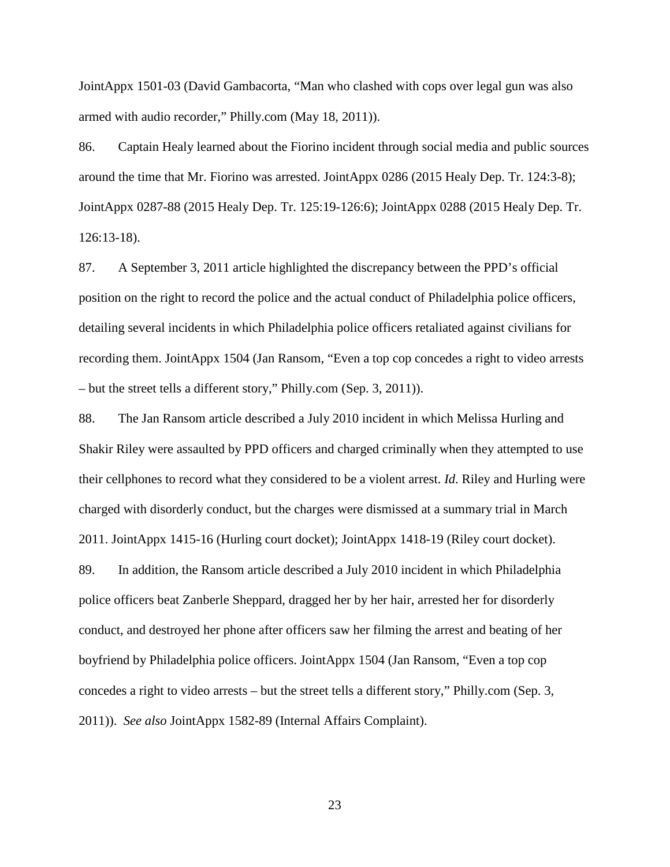JointAppx 1501-03 (David Gambacorta, "Man who clashed with cops over legal gun was also armed with audio recorder," Philly.com (May 18, 2011)).

86. Captain Healy learned about the Fiorino incident through social media and public sources around the time that Mr. Fiorino was arrested. JointAppx 0286 (2015 Healy Dep. Tr. 124:3-8); JointAppx 0287-88 (2015 Healy Dep. Tr. 125:19-126:6); JointAppx 0288 (2015 Healy Dep. Tr. 126:13-18).

87. A September 3, 2011 article highlighted the discrepancy between the PPD's official position on the right to record the police and the actual conduct of Philadelphia police officers, detailing several incidents in which Philadelphia police officers retaliated against civilians for recording them. JointAppx 1504 (Jan Ransom, "Even a top cop concedes a right to video arrests – but the street tells a different story," Philly.com (Sep. 3, 2011)).

88. The Jan Ransom article described a July 2010 incident in which Melissa Hurling and Shakir Riley were assaulted by PPD officers and charged criminally when they attempted to use their cellphones to record what they considered to be a violent arrest. *Id*. Riley and Hurling were charged with disorderly conduct, but the charges were dismissed at a summary trial in March 2011. JointAppx 1415-16 (Hurling court docket); JointAppx 1418-19 (Riley court docket). 89. In addition, the Ransom article described a July 2010 incident in which Philadelphia police officers beat Zanberle Sheppard, dragged her by her hair, arrested her for disorderly conduct, and destroyed her phone after officers saw her filming the arrest and beating of her boyfriend by Philadelphia police officers. JointAppx 1504 (Jan Ransom, "Even a top cop concedes a right to video arrests – but the street tells a different story," Philly.com (Sep. 3, 2011)). *See also* JointAppx 1582-89 (Internal Affairs Complaint).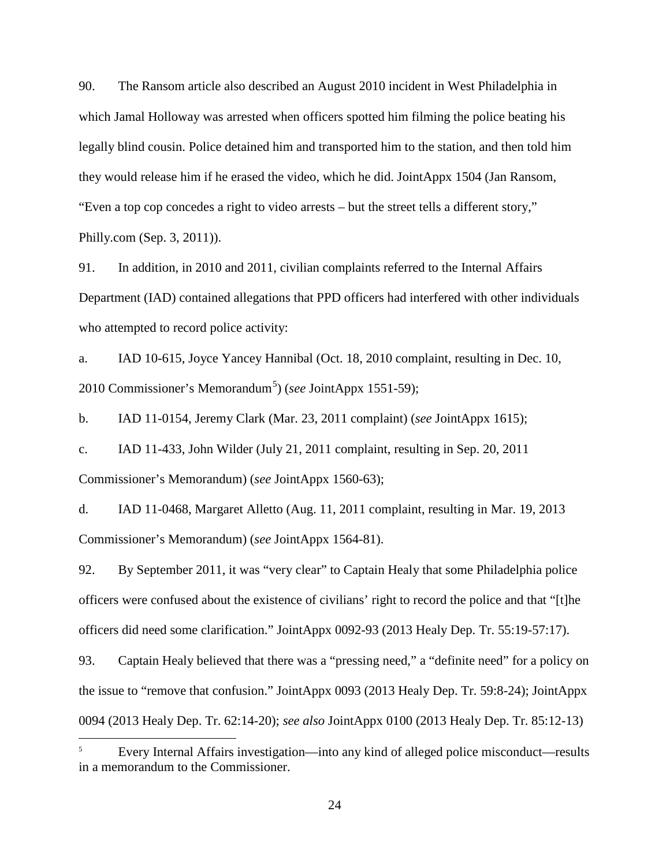90. The Ransom article also described an August 2010 incident in West Philadelphia in which Jamal Holloway was arrested when officers spotted him filming the police beating his legally blind cousin. Police detained him and transported him to the station, and then told him they would release him if he erased the video, which he did. JointAppx 1504 (Jan Ransom, "Even a top cop concedes a right to video arrests – but the street tells a different story," Philly.com (Sep. 3, 2011)).

91. In addition, in 2010 and 2011, civilian complaints referred to the Internal Affairs Department (IAD) contained allegations that PPD officers had interfered with other individuals who attempted to record police activity:

a. IAD 10-615, Joyce Yancey Hannibal (Oct. 18, 2010 complaint, resulting in Dec. 10, 2010 Commissioner's Memorandum<sup>[5](#page-23-0)</sup>) (*see JointAppx 1551-59*);

b. IAD 11-0154, Jeremy Clark (Mar. 23, 2011 complaint) (*see* JointAppx 1615);

c. IAD 11-433, John Wilder (July 21, 2011 complaint, resulting in Sep. 20, 2011 Commissioner's Memorandum) (*see* JointAppx 1560-63);

d. IAD 11-0468, Margaret Alletto (Aug. 11, 2011 complaint, resulting in Mar. 19, 2013 Commissioner's Memorandum) (*see* JointAppx 1564-81).

92. By September 2011, it was "very clear" to Captain Healy that some Philadelphia police officers were confused about the existence of civilians' right to record the police and that "[t]he officers did need some clarification." JointAppx 0092-93 (2013 Healy Dep. Tr. 55:19-57:17).

93. Captain Healy believed that there was a "pressing need," a "definite need" for a policy on the issue to "remove that confusion." JointAppx 0093 (2013 Healy Dep. Tr. 59:8-24); JointAppx 0094 (2013 Healy Dep. Tr. 62:14-20); *see also* JointAppx 0100 (2013 Healy Dep. Tr. 85:12-13)

 $\overline{\phantom{a}}$ 

<span id="page-23-0"></span><sup>5</sup> Every Internal Affairs investigation—into any kind of alleged police misconduct—results in a memorandum to the Commissioner.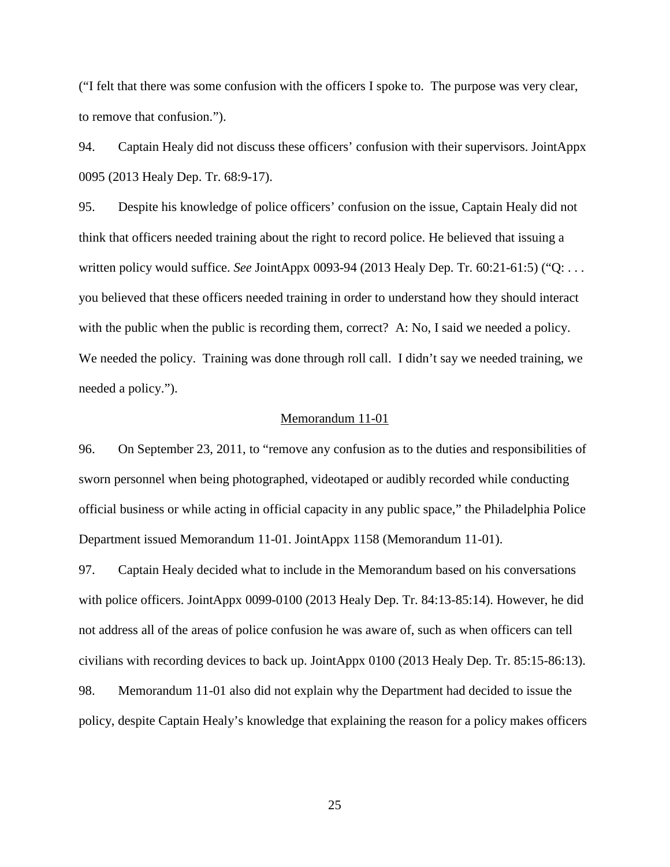("I felt that there was some confusion with the officers I spoke to. The purpose was very clear, to remove that confusion.").

94. Captain Healy did not discuss these officers' confusion with their supervisors. JointAppx 0095 (2013 Healy Dep. Tr. 68:9-17).

95. Despite his knowledge of police officers' confusion on the issue, Captain Healy did not think that officers needed training about the right to record police. He believed that issuing a written policy would suffice. *See* JointAppx 0093-94 (2013 Healy Dep. Tr. 60:21-61:5) ("Q: . . . you believed that these officers needed training in order to understand how they should interact with the public when the public is recording them, correct? A: No, I said we needed a policy. We needed the policy. Training was done through roll call. I didn't say we needed training, we needed a policy.").

#### Memorandum 11-01

96. On September 23, 2011, to "remove any confusion as to the duties and responsibilities of sworn personnel when being photographed, videotaped or audibly recorded while conducting official business or while acting in official capacity in any public space," the Philadelphia Police Department issued Memorandum 11-01. JointAppx 1158 (Memorandum 11-01).

97. Captain Healy decided what to include in the Memorandum based on his conversations with police officers. JointAppx 0099-0100 (2013 Healy Dep. Tr. 84:13-85:14). However, he did not address all of the areas of police confusion he was aware of, such as when officers can tell civilians with recording devices to back up. JointAppx 0100 (2013 Healy Dep. Tr. 85:15-86:13).

98. Memorandum 11-01 also did not explain why the Department had decided to issue the policy, despite Captain Healy's knowledge that explaining the reason for a policy makes officers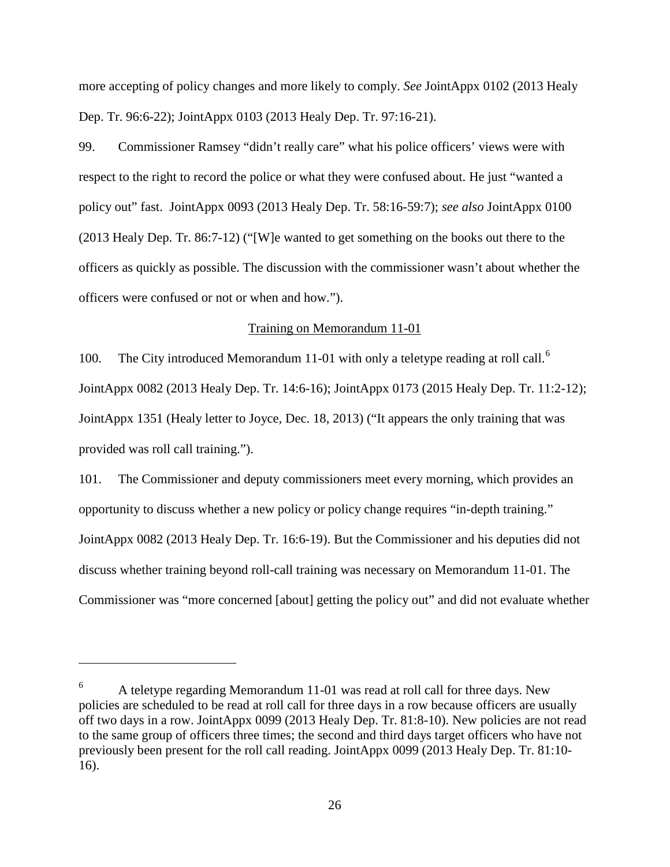more accepting of policy changes and more likely to comply. *See* JointAppx 0102 (2013 Healy Dep. Tr. 96:6-22); JointAppx 0103 (2013 Healy Dep. Tr. 97:16-21).

99. Commissioner Ramsey "didn't really care" what his police officers' views were with respect to the right to record the police or what they were confused about. He just "wanted a policy out" fast. JointAppx 0093 (2013 Healy Dep. Tr. 58:16-59:7); *see also* JointAppx 0100 (2013 Healy Dep. Tr. 86:7-12) ("[W]e wanted to get something on the books out there to the officers as quickly as possible. The discussion with the commissioner wasn't about whether the officers were confused or not or when and how.").

## Training on Memorandum 11-01

100. The City introduced Memorandum 11-01 with only a teletype reading at roll call.<sup>[6](#page-25-0)</sup> JointAppx 0082 (2013 Healy Dep. Tr. 14:6-16); JointAppx 0173 (2015 Healy Dep. Tr. 11:2-12); JointAppx 1351 (Healy letter to Joyce, Dec. 18, 2013) ("It appears the only training that was provided was roll call training.").

101. The Commissioner and deputy commissioners meet every morning, which provides an opportunity to discuss whether a new policy or policy change requires "in-depth training." JointAppx 0082 (2013 Healy Dep. Tr. 16:6-19). But the Commissioner and his deputies did not discuss whether training beyond roll-call training was necessary on Memorandum 11-01. The Commissioner was "more concerned [about] getting the policy out" and did not evaluate whether

l

<span id="page-25-0"></span><sup>6</sup> A teletype regarding Memorandum 11-01 was read at roll call for three days. New policies are scheduled to be read at roll call for three days in a row because officers are usually off two days in a row. JointAppx 0099 (2013 Healy Dep. Tr. 81:8-10). New policies are not read to the same group of officers three times; the second and third days target officers who have not previously been present for the roll call reading. JointAppx 0099 (2013 Healy Dep. Tr. 81:10- 16).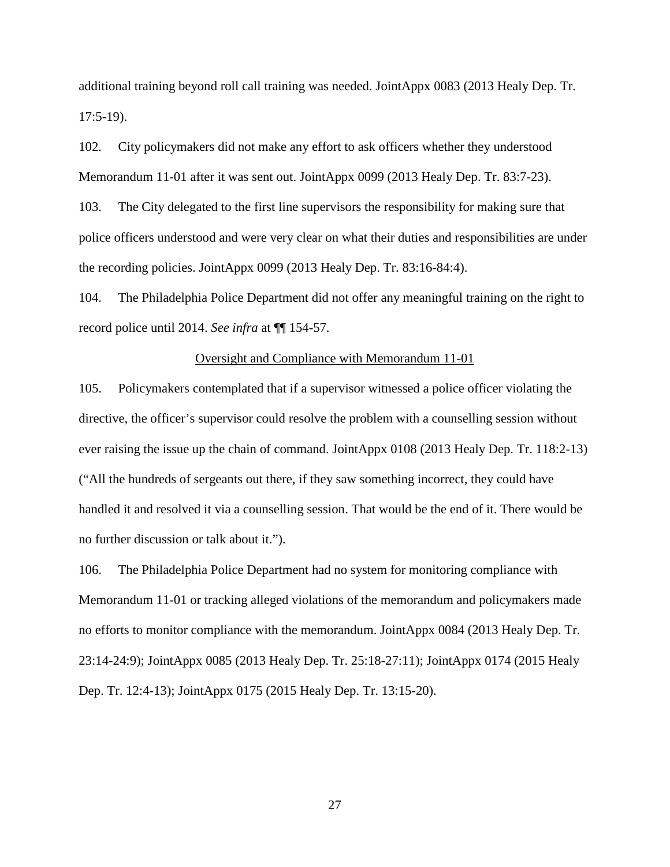additional training beyond roll call training was needed. JointAppx 0083 (2013 Healy Dep. Tr. 17:5-19).

102. City policymakers did not make any effort to ask officers whether they understood Memorandum 11-01 after it was sent out. JointAppx 0099 (2013 Healy Dep. Tr. 83:7-23).

103. The City delegated to the first line supervisors the responsibility for making sure that police officers understood and were very clear on what their duties and responsibilities are under the recording policies. JointAppx 0099 (2013 Healy Dep. Tr. 83:16-84:4).

104. The Philadelphia Police Department did not offer any meaningful training on the right to record police until 2014. *See infra* at ¶¶ 154-57.

## Oversight and Compliance with Memorandum 11-01

105. Policymakers contemplated that if a supervisor witnessed a police officer violating the directive, the officer's supervisor could resolve the problem with a counselling session without ever raising the issue up the chain of command. JointAppx 0108 (2013 Healy Dep. Tr. 118:2-13) ("All the hundreds of sergeants out there, if they saw something incorrect, they could have handled it and resolved it via a counselling session. That would be the end of it. There would be no further discussion or talk about it.").

106. The Philadelphia Police Department had no system for monitoring compliance with Memorandum 11-01 or tracking alleged violations of the memorandum and policymakers made no efforts to monitor compliance with the memorandum. JointAppx 0084 (2013 Healy Dep. Tr. 23:14-24:9); JointAppx 0085 (2013 Healy Dep. Tr. 25:18-27:11); JointAppx 0174 (2015 Healy Dep. Tr. 12:4-13); JointAppx 0175 (2015 Healy Dep. Tr. 13:15-20).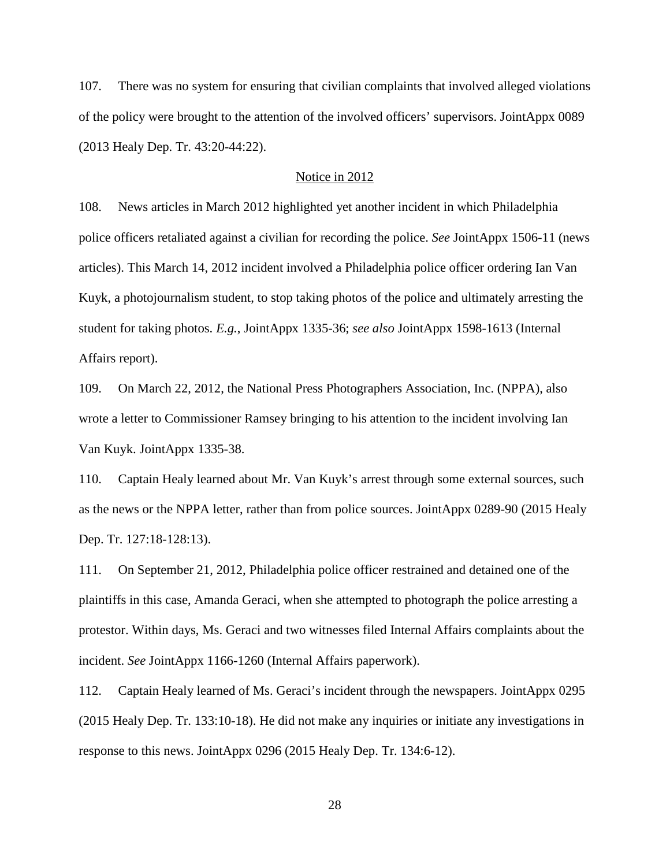107. There was no system for ensuring that civilian complaints that involved alleged violations of the policy were brought to the attention of the involved officers' supervisors. JointAppx 0089 (2013 Healy Dep. Tr. 43:20-44:22).

# Notice in 2012

108. News articles in March 2012 highlighted yet another incident in which Philadelphia police officers retaliated against a civilian for recording the police. *See* JointAppx 1506-11 (news articles). This March 14, 2012 incident involved a Philadelphia police officer ordering Ian Van Kuyk, a photojournalism student, to stop taking photos of the police and ultimately arresting the student for taking photos. *E.g.*, JointAppx 1335-36; *see also* JointAppx 1598-1613 (Internal Affairs report).

109. On March 22, 2012, the National Press Photographers Association, Inc. (NPPA), also wrote a letter to Commissioner Ramsey bringing to his attention to the incident involving Ian Van Kuyk. JointAppx 1335-38.

110. Captain Healy learned about Mr. Van Kuyk's arrest through some external sources, such as the news or the NPPA letter, rather than from police sources. JointAppx 0289-90 (2015 Healy Dep. Tr. 127:18-128:13).

111. On September 21, 2012, Philadelphia police officer restrained and detained one of the plaintiffs in this case, Amanda Geraci, when she attempted to photograph the police arresting a protestor. Within days, Ms. Geraci and two witnesses filed Internal Affairs complaints about the incident. *See* JointAppx 1166-1260 (Internal Affairs paperwork).

112. Captain Healy learned of Ms. Geraci's incident through the newspapers. JointAppx 0295 (2015 Healy Dep. Tr. 133:10-18). He did not make any inquiries or initiate any investigations in response to this news. JointAppx 0296 (2015 Healy Dep. Tr. 134:6-12).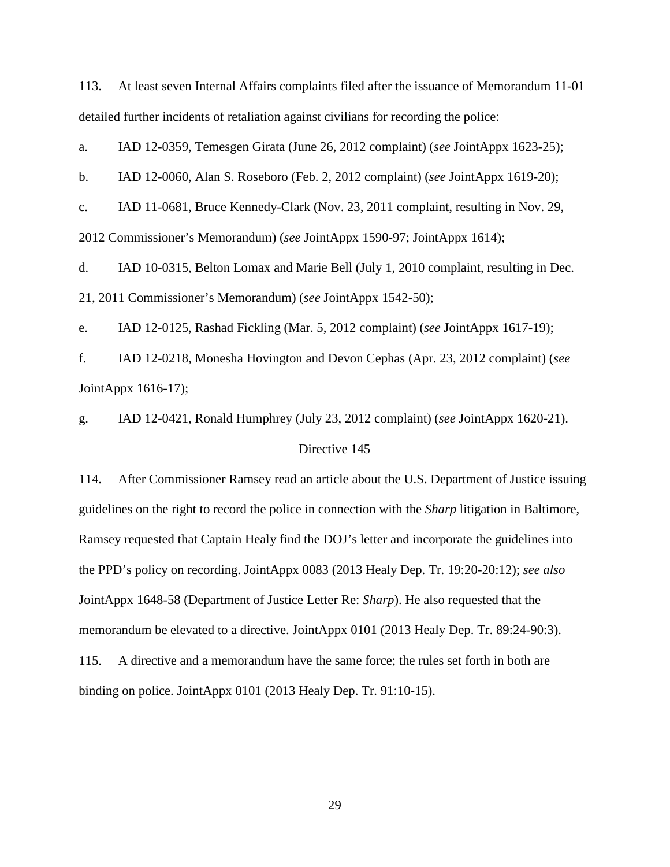113. At least seven Internal Affairs complaints filed after the issuance of Memorandum 11-01 detailed further incidents of retaliation against civilians for recording the police:

a. IAD 12-0359, Temesgen Girata (June 26, 2012 complaint) (*see* JointAppx 1623-25);

b. IAD 12-0060, Alan S. Roseboro (Feb. 2, 2012 complaint) (*see* JointAppx 1619-20);

c. IAD 11-0681, Bruce Kennedy-Clark (Nov. 23, 2011 complaint, resulting in Nov. 29, 2012 Commissioner's Memorandum) (*see* JointAppx 1590-97; JointAppx 1614);

d. IAD 10-0315, Belton Lomax and Marie Bell (July 1, 2010 complaint, resulting in Dec. 21, 2011 Commissioner's Memorandum) (*see* JointAppx 1542-50);

e. IAD 12-0125, Rashad Fickling (Mar. 5, 2012 complaint) (*see* JointAppx 1617-19);

f. IAD 12-0218, Monesha Hovington and Devon Cephas (Apr. 23, 2012 complaint) (*see*  JointAppx 1616-17);

g. IAD 12-0421, Ronald Humphrey (July 23, 2012 complaint) (*see* JointAppx 1620-21).

# Directive 145

114. After Commissioner Ramsey read an article about the U.S. Department of Justice issuing guidelines on the right to record the police in connection with the *Sharp* litigation in Baltimore, Ramsey requested that Captain Healy find the DOJ's letter and incorporate the guidelines into the PPD's policy on recording. JointAppx 0083 (2013 Healy Dep. Tr. 19:20-20:12); *see also*  JointAppx 1648-58 (Department of Justice Letter Re: *Sharp*). He also requested that the memorandum be elevated to a directive. JointAppx 0101 (2013 Healy Dep. Tr. 89:24-90:3). 115. A directive and a memorandum have the same force; the rules set forth in both are binding on police. JointAppx 0101 (2013 Healy Dep. Tr. 91:10-15).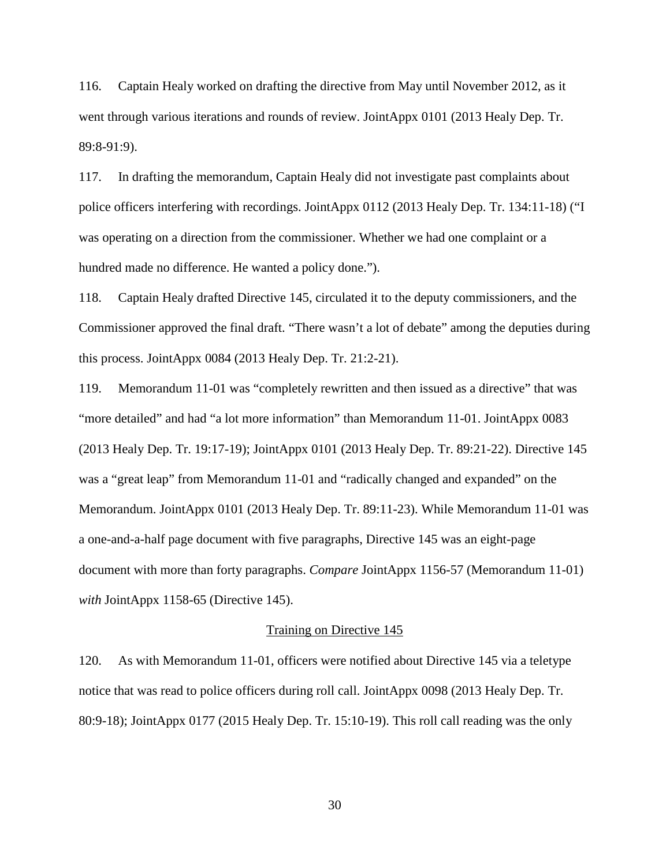116. Captain Healy worked on drafting the directive from May until November 2012, as it went through various iterations and rounds of review. JointAppx 0101 (2013 Healy Dep. Tr. 89:8-91:9).

117. In drafting the memorandum, Captain Healy did not investigate past complaints about police officers interfering with recordings. JointAppx 0112 (2013 Healy Dep. Tr. 134:11-18) ("I was operating on a direction from the commissioner. Whether we had one complaint or a hundred made no difference. He wanted a policy done.").

118. Captain Healy drafted Directive 145, circulated it to the deputy commissioners, and the Commissioner approved the final draft. "There wasn't a lot of debate" among the deputies during this process. JointAppx 0084 (2013 Healy Dep. Tr. 21:2-21).

119. Memorandum 11-01 was "completely rewritten and then issued as a directive" that was "more detailed" and had "a lot more information" than Memorandum 11-01. JointAppx 0083 (2013 Healy Dep. Tr. 19:17-19); JointAppx 0101 (2013 Healy Dep. Tr. 89:21-22). Directive 145 was a "great leap" from Memorandum 11-01 and "radically changed and expanded" on the Memorandum. JointAppx 0101 (2013 Healy Dep. Tr. 89:11-23). While Memorandum 11-01 was a one-and-a-half page document with five paragraphs, Directive 145 was an eight-page document with more than forty paragraphs. *Compare* JointAppx 1156-57 (Memorandum 11-01) *with* JointAppx 1158-65 (Directive 145).

## Training on Directive 145

120. As with Memorandum 11-01, officers were notified about Directive 145 via a teletype notice that was read to police officers during roll call. JointAppx 0098 (2013 Healy Dep. Tr. 80:9-18); JointAppx 0177 (2015 Healy Dep. Tr. 15:10-19). This roll call reading was the only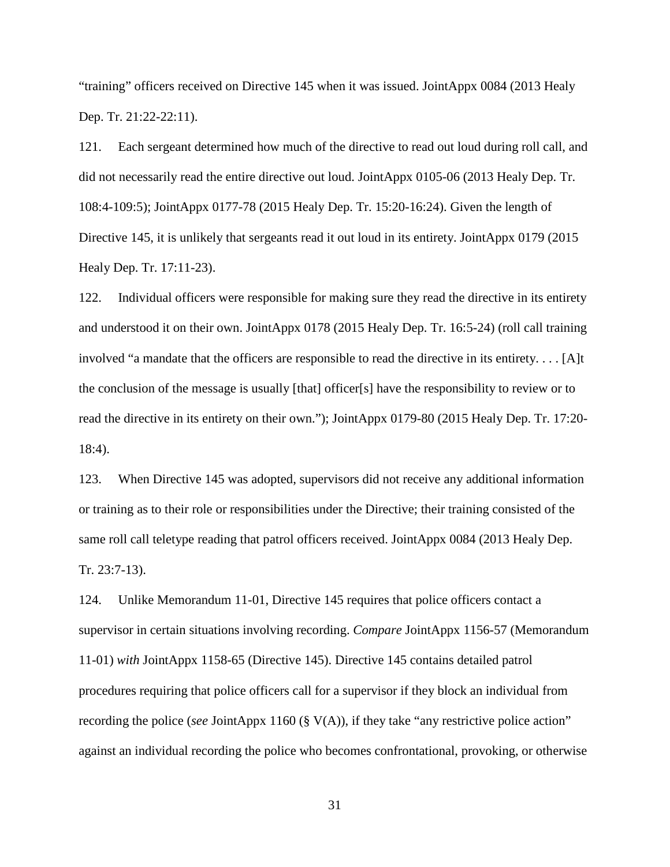"training" officers received on Directive 145 when it was issued. JointAppx 0084 (2013 Healy Dep. Tr. 21:22-22:11).

121. Each sergeant determined how much of the directive to read out loud during roll call, and did not necessarily read the entire directive out loud. JointAppx 0105-06 (2013 Healy Dep. Tr. 108:4-109:5); JointAppx 0177-78 (2015 Healy Dep. Tr. 15:20-16:24). Given the length of Directive 145, it is unlikely that sergeants read it out loud in its entirety. JointAppx 0179 (2015 Healy Dep. Tr. 17:11-23).

122. Individual officers were responsible for making sure they read the directive in its entirety and understood it on their own. JointAppx 0178 (2015 Healy Dep. Tr. 16:5-24) (roll call training involved "a mandate that the officers are responsible to read the directive in its entirety. . . . [A]t the conclusion of the message is usually [that] officer[s] have the responsibility to review or to read the directive in its entirety on their own."); JointAppx 0179-80 (2015 Healy Dep. Tr. 17:20- 18:4).

123. When Directive 145 was adopted, supervisors did not receive any additional information or training as to their role or responsibilities under the Directive; their training consisted of the same roll call teletype reading that patrol officers received. JointAppx 0084 (2013 Healy Dep. Tr. 23:7-13).

124. Unlike Memorandum 11-01, Directive 145 requires that police officers contact a supervisor in certain situations involving recording. *Compare* JointAppx 1156-57 (Memorandum 11-01) *with* JointAppx 1158-65 (Directive 145). Directive 145 contains detailed patrol procedures requiring that police officers call for a supervisor if they block an individual from recording the police (*see* JointAppx 1160 (§ V(A)), if they take "any restrictive police action" against an individual recording the police who becomes confrontational, provoking, or otherwise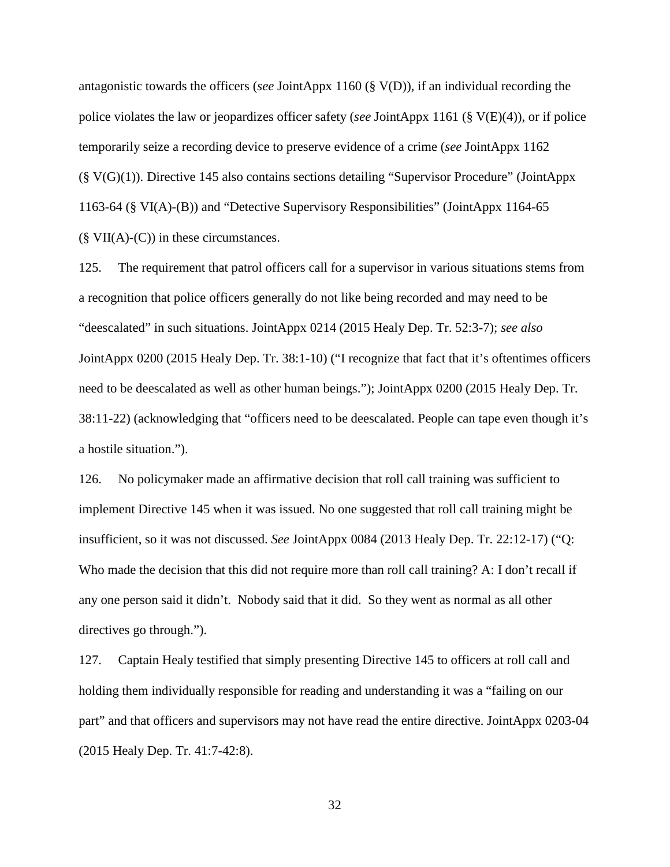antagonistic towards the officers (*see* JointAppx 1160 (§ V(D)), if an individual recording the police violates the law or jeopardizes officer safety (*see* JointAppx 1161 (§ V(E)(4)), or if police temporarily seize a recording device to preserve evidence of a crime (*see* JointAppx 1162 (§ V(G)(1)). Directive 145 also contains sections detailing "Supervisor Procedure" (JointAppx 1163-64 (§ VI(A)-(B)) and "Detective Supervisory Responsibilities" (JointAppx 1164-65  $(\S \text{ VII}(A)$ - $(C)$ ) in these circumstances.

125. The requirement that patrol officers call for a supervisor in various situations stems from a recognition that police officers generally do not like being recorded and may need to be "deescalated" in such situations. JointAppx 0214 (2015 Healy Dep. Tr. 52:3-7); *see also*  JointAppx 0200 (2015 Healy Dep. Tr. 38:1-10) ("I recognize that fact that it's oftentimes officers need to be deescalated as well as other human beings."); JointAppx 0200 (2015 Healy Dep. Tr. 38:11-22) (acknowledging that "officers need to be deescalated. People can tape even though it's a hostile situation.").

126. No policymaker made an affirmative decision that roll call training was sufficient to implement Directive 145 when it was issued. No one suggested that roll call training might be insufficient, so it was not discussed. *See* JointAppx 0084 (2013 Healy Dep. Tr. 22:12-17) ("Q: Who made the decision that this did not require more than roll call training? A: I don't recall if any one person said it didn't. Nobody said that it did. So they went as normal as all other directives go through.").

127. Captain Healy testified that simply presenting Directive 145 to officers at roll call and holding them individually responsible for reading and understanding it was a "failing on our part" and that officers and supervisors may not have read the entire directive. JointAppx 0203-04 (2015 Healy Dep. Tr. 41:7-42:8).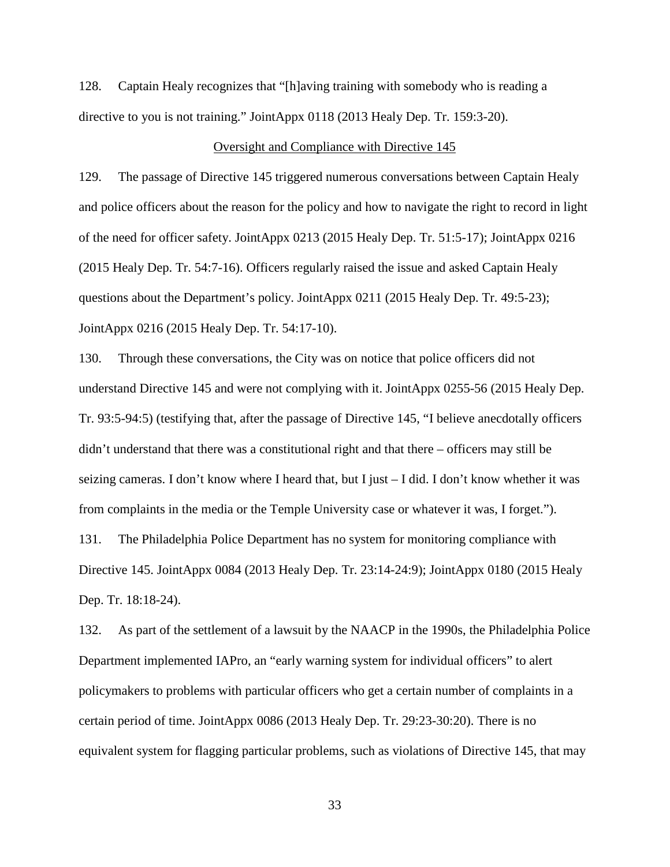128. Captain Healy recognizes that "[h]aving training with somebody who is reading a directive to you is not training." JointAppx 0118 (2013 Healy Dep. Tr. 159:3-20).

### Oversight and Compliance with Directive 145

129. The passage of Directive 145 triggered numerous conversations between Captain Healy and police officers about the reason for the policy and how to navigate the right to record in light of the need for officer safety. JointAppx 0213 (2015 Healy Dep. Tr. 51:5-17); JointAppx 0216 (2015 Healy Dep. Tr. 54:7-16). Officers regularly raised the issue and asked Captain Healy questions about the Department's policy. JointAppx 0211 (2015 Healy Dep. Tr. 49:5-23); JointAppx 0216 (2015 Healy Dep. Tr. 54:17-10).

130. Through these conversations, the City was on notice that police officers did not understand Directive 145 and were not complying with it. JointAppx 0255-56 (2015 Healy Dep. Tr. 93:5-94:5) (testifying that, after the passage of Directive 145, "I believe anecdotally officers didn't understand that there was a constitutional right and that there – officers may still be seizing cameras. I don't know where I heard that, but I just – I did. I don't know whether it was from complaints in the media or the Temple University case or whatever it was, I forget."). 131. The Philadelphia Police Department has no system for monitoring compliance with Directive 145. JointAppx 0084 (2013 Healy Dep. Tr. 23:14-24:9); JointAppx 0180 (2015 Healy Dep. Tr. 18:18-24).

132. As part of the settlement of a lawsuit by the NAACP in the 1990s, the Philadelphia Police Department implemented IAPro, an "early warning system for individual officers" to alert policymakers to problems with particular officers who get a certain number of complaints in a certain period of time. JointAppx 0086 (2013 Healy Dep. Tr. 29:23-30:20). There is no equivalent system for flagging particular problems, such as violations of Directive 145, that may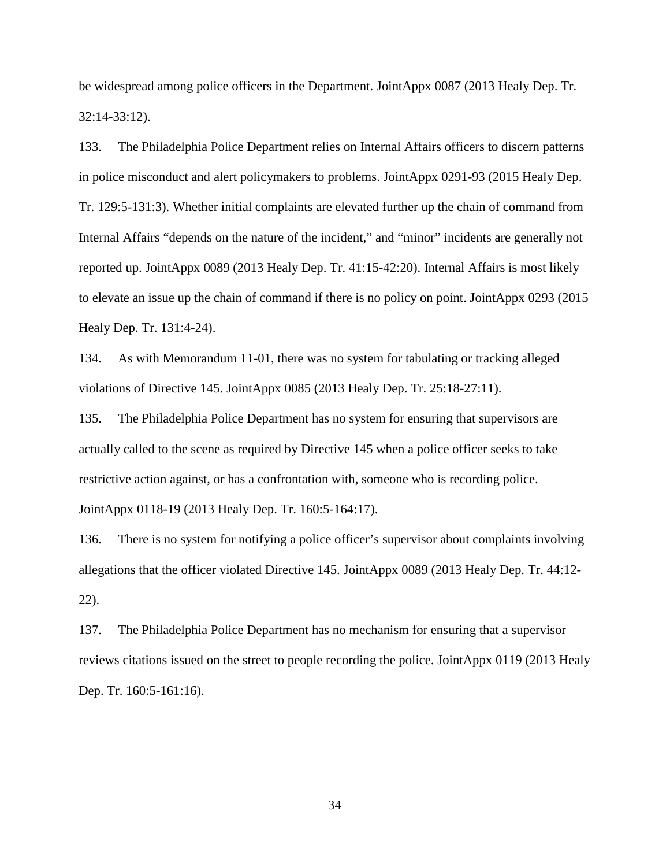be widespread among police officers in the Department. JointAppx 0087 (2013 Healy Dep. Tr. 32:14-33:12).

133. The Philadelphia Police Department relies on Internal Affairs officers to discern patterns in police misconduct and alert policymakers to problems. JointAppx 0291-93 (2015 Healy Dep. Tr. 129:5-131:3). Whether initial complaints are elevated further up the chain of command from Internal Affairs "depends on the nature of the incident," and "minor" incidents are generally not reported up. JointAppx 0089 (2013 Healy Dep. Tr. 41:15-42:20). Internal Affairs is most likely to elevate an issue up the chain of command if there is no policy on point. JointAppx 0293 (2015 Healy Dep. Tr. 131:4-24).

134. As with Memorandum 11-01, there was no system for tabulating or tracking alleged violations of Directive 145. JointAppx 0085 (2013 Healy Dep. Tr. 25:18-27:11).

135. The Philadelphia Police Department has no system for ensuring that supervisors are actually called to the scene as required by Directive 145 when a police officer seeks to take restrictive action against, or has a confrontation with, someone who is recording police. JointAppx 0118-19 (2013 Healy Dep. Tr. 160:5-164:17).

136. There is no system for notifying a police officer's supervisor about complaints involving allegations that the officer violated Directive 145. JointAppx 0089 (2013 Healy Dep. Tr. 44:12- 22).

137. The Philadelphia Police Department has no mechanism for ensuring that a supervisor reviews citations issued on the street to people recording the police. JointAppx 0119 (2013 Healy Dep. Tr. 160:5-161:16).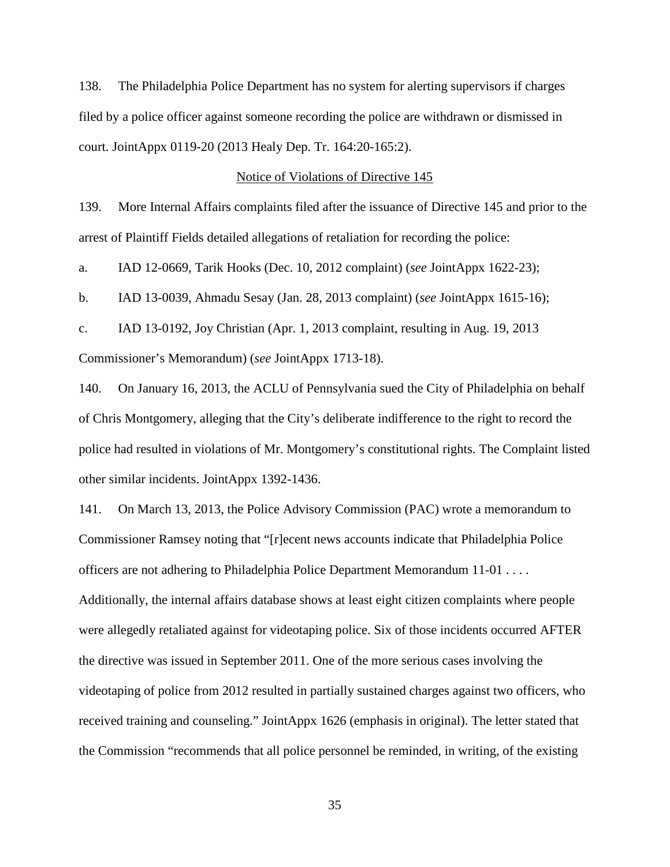138. The Philadelphia Police Department has no system for alerting supervisors if charges filed by a police officer against someone recording the police are withdrawn or dismissed in court. JointAppx 0119-20 (2013 Healy Dep. Tr. 164:20-165:2).

#### Notice of Violations of Directive 145

139. More Internal Affairs complaints filed after the issuance of Directive 145 and prior to the arrest of Plaintiff Fields detailed allegations of retaliation for recording the police:

a. IAD 12-0669, Tarik Hooks (Dec. 10, 2012 complaint) (*see* JointAppx 1622-23);

b. IAD 13-0039, Ahmadu Sesay (Jan. 28, 2013 complaint) (*see* JointAppx 1615-16);

c. IAD 13-0192, Joy Christian (Apr. 1, 2013 complaint, resulting in Aug. 19, 2013

Commissioner's Memorandum) (*see* JointAppx 1713-18).

140. On January 16, 2013, the ACLU of Pennsylvania sued the City of Philadelphia on behalf of Chris Montgomery, alleging that the City's deliberate indifference to the right to record the police had resulted in violations of Mr. Montgomery's constitutional rights. The Complaint listed other similar incidents. JointAppx 1392-1436.

141. On March 13, 2013, the Police Advisory Commission (PAC) wrote a memorandum to Commissioner Ramsey noting that "[r]ecent news accounts indicate that Philadelphia Police officers are not adhering to Philadelphia Police Department Memorandum 11-01 . . . . Additionally, the internal affairs database shows at least eight citizen complaints where people were allegedly retaliated against for videotaping police. Six of those incidents occurred AFTER the directive was issued in September 2011. One of the more serious cases involving the videotaping of police from 2012 resulted in partially sustained charges against two officers, who received training and counseling." JointAppx 1626 (emphasis in original). The letter stated that the Commission "recommends that all police personnel be reminded, in writing, of the existing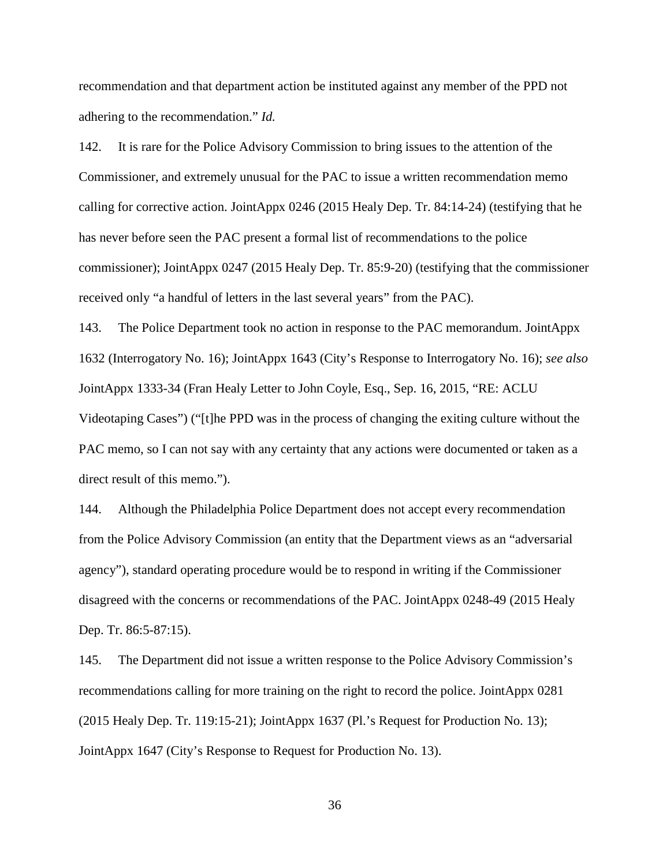recommendation and that department action be instituted against any member of the PPD not adhering to the recommendation." *Id.*

142. It is rare for the Police Advisory Commission to bring issues to the attention of the Commissioner, and extremely unusual for the PAC to issue a written recommendation memo calling for corrective action. JointAppx 0246 (2015 Healy Dep. Tr. 84:14-24) (testifying that he has never before seen the PAC present a formal list of recommendations to the police commissioner); JointAppx 0247 (2015 Healy Dep. Tr. 85:9-20) (testifying that the commissioner received only "a handful of letters in the last several years" from the PAC).

143. The Police Department took no action in response to the PAC memorandum. JointAppx 1632 (Interrogatory No. 16); JointAppx 1643 (City's Response to Interrogatory No. 16); *see also*  JointAppx 1333-34 (Fran Healy Letter to John Coyle, Esq., Sep. 16, 2015, "RE: ACLU Videotaping Cases") ("[t]he PPD was in the process of changing the exiting culture without the PAC memo, so I can not say with any certainty that any actions were documented or taken as a direct result of this memo.").

144. Although the Philadelphia Police Department does not accept every recommendation from the Police Advisory Commission (an entity that the Department views as an "adversarial agency"), standard operating procedure would be to respond in writing if the Commissioner disagreed with the concerns or recommendations of the PAC. JointAppx 0248-49 (2015 Healy Dep. Tr. 86:5-87:15).

145. The Department did not issue a written response to the Police Advisory Commission's recommendations calling for more training on the right to record the police. JointAppx 0281 (2015 Healy Dep. Tr. 119:15-21); JointAppx 1637 (Pl.'s Request for Production No. 13); JointAppx 1647 (City's Response to Request for Production No. 13).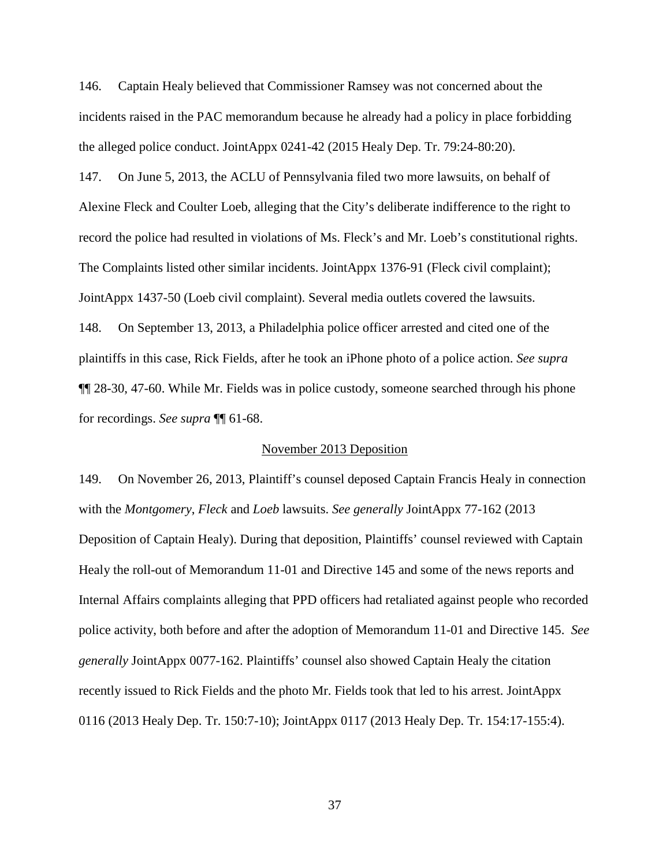146. Captain Healy believed that Commissioner Ramsey was not concerned about the incidents raised in the PAC memorandum because he already had a policy in place forbidding the alleged police conduct. JointAppx 0241-42 (2015 Healy Dep. Tr. 79:24-80:20).

147. On June 5, 2013, the ACLU of Pennsylvania filed two more lawsuits, on behalf of Alexine Fleck and Coulter Loeb, alleging that the City's deliberate indifference to the right to record the police had resulted in violations of Ms. Fleck's and Mr. Loeb's constitutional rights. The Complaints listed other similar incidents. JointAppx 1376-91 (Fleck civil complaint); JointAppx 1437-50 (Loeb civil complaint). Several media outlets covered the lawsuits. 148. On September 13, 2013, a Philadelphia police officer arrested and cited one of the plaintiffs in this case, Rick Fields, after he took an iPhone photo of a police action. *See supra* ¶¶ 28-30, 47-60. While Mr. Fields was in police custody, someone searched through his phone for recordings. *See supra* ¶¶ 61-68.

# November 2013 Deposition

149. On November 26, 2013, Plaintiff's counsel deposed Captain Francis Healy in connection with the *Montgomery*, *Fleck* and *Loeb* lawsuits. *See generally* JointAppx 77-162 (2013 Deposition of Captain Healy). During that deposition, Plaintiffs' counsel reviewed with Captain Healy the roll-out of Memorandum 11-01 and Directive 145 and some of the news reports and Internal Affairs complaints alleging that PPD officers had retaliated against people who recorded police activity, both before and after the adoption of Memorandum 11-01 and Directive 145. *See generally* JointAppx 0077-162. Plaintiffs' counsel also showed Captain Healy the citation recently issued to Rick Fields and the photo Mr. Fields took that led to his arrest. JointAppx 0116 (2013 Healy Dep. Tr. 150:7-10); JointAppx 0117 (2013 Healy Dep. Tr. 154:17-155:4).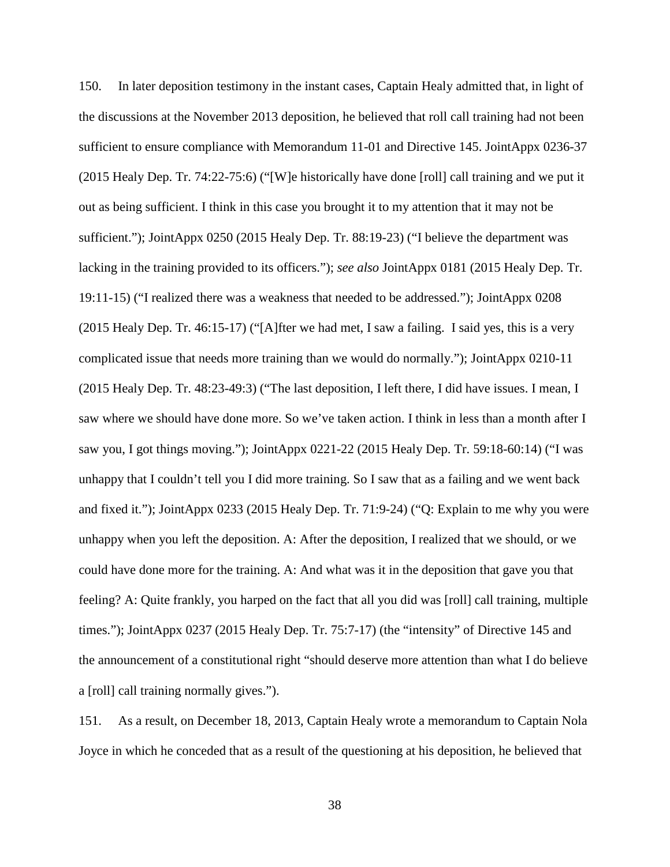150. In later deposition testimony in the instant cases, Captain Healy admitted that, in light of the discussions at the November 2013 deposition, he believed that roll call training had not been sufficient to ensure compliance with Memorandum 11-01 and Directive 145. JointAppx 0236-37 (2015 Healy Dep. Tr. 74:22-75:6) ("[W]e historically have done [roll] call training and we put it out as being sufficient. I think in this case you brought it to my attention that it may not be sufficient."); JointAppx 0250 (2015 Healy Dep. Tr. 88:19-23) ("I believe the department was lacking in the training provided to its officers."); *see also* JointAppx 0181 (2015 Healy Dep. Tr. 19:11-15) ("I realized there was a weakness that needed to be addressed."); JointAppx 0208 (2015 Healy Dep. Tr. 46:15-17) ("[A]fter we had met, I saw a failing. I said yes, this is a very complicated issue that needs more training than we would do normally."); JointAppx 0210-11 (2015 Healy Dep. Tr. 48:23-49:3) ("The last deposition, I left there, I did have issues. I mean, I saw where we should have done more. So we've taken action. I think in less than a month after I saw you, I got things moving."); JointAppx 0221-22 (2015 Healy Dep. Tr. 59:18-60:14) ("I was unhappy that I couldn't tell you I did more training. So I saw that as a failing and we went back and fixed it."); JointAppx 0233 (2015 Healy Dep. Tr. 71:9-24) ("Q: Explain to me why you were unhappy when you left the deposition. A: After the deposition, I realized that we should, or we could have done more for the training. A: And what was it in the deposition that gave you that feeling? A: Quite frankly, you harped on the fact that all you did was [roll] call training, multiple times."); JointAppx 0237 (2015 Healy Dep. Tr. 75:7-17) (the "intensity" of Directive 145 and the announcement of a constitutional right "should deserve more attention than what I do believe a [roll] call training normally gives.").

151. As a result, on December 18, 2013, Captain Healy wrote a memorandum to Captain Nola Joyce in which he conceded that as a result of the questioning at his deposition, he believed that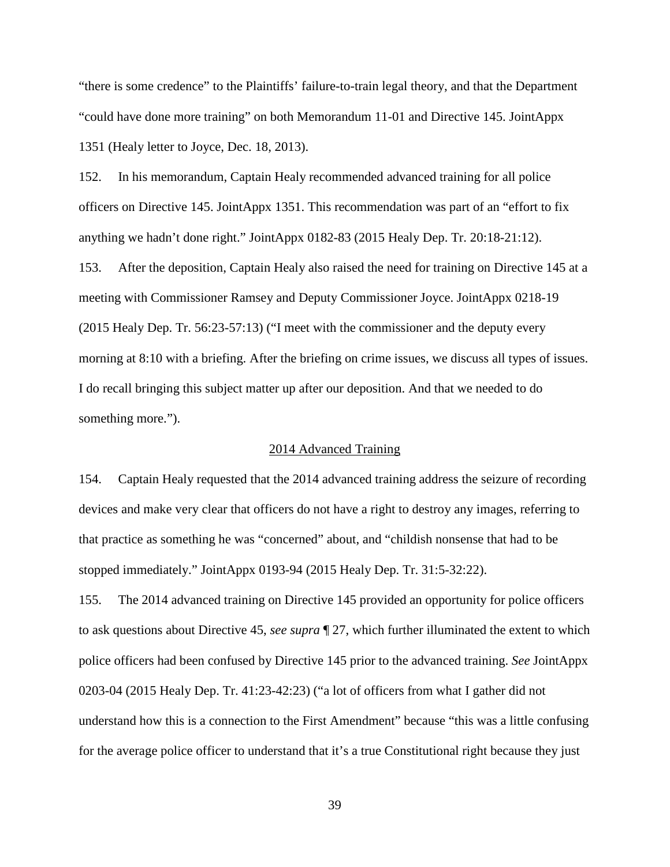"there is some credence" to the Plaintiffs' failure-to-train legal theory, and that the Department "could have done more training" on both Memorandum 11-01 and Directive 145. JointAppx 1351 (Healy letter to Joyce, Dec. 18, 2013).

152. In his memorandum, Captain Healy recommended advanced training for all police officers on Directive 145. JointAppx 1351. This recommendation was part of an "effort to fix anything we hadn't done right." JointAppx 0182-83 (2015 Healy Dep. Tr. 20:18-21:12).

153. After the deposition, Captain Healy also raised the need for training on Directive 145 at a meeting with Commissioner Ramsey and Deputy Commissioner Joyce. JointAppx 0218-19 (2015 Healy Dep. Tr. 56:23-57:13) ("I meet with the commissioner and the deputy every morning at 8:10 with a briefing. After the briefing on crime issues, we discuss all types of issues. I do recall bringing this subject matter up after our deposition. And that we needed to do something more.").

# 2014 Advanced Training

154. Captain Healy requested that the 2014 advanced training address the seizure of recording devices and make very clear that officers do not have a right to destroy any images, referring to that practice as something he was "concerned" about, and "childish nonsense that had to be stopped immediately." JointAppx 0193-94 (2015 Healy Dep. Tr. 31:5-32:22).

155. The 2014 advanced training on Directive 145 provided an opportunity for police officers to ask questions about Directive 45, *see supra* ¶ 27, which further illuminated the extent to which police officers had been confused by Directive 145 prior to the advanced training. *See* JointAppx 0203-04 (2015 Healy Dep. Tr. 41:23-42:23) ("a lot of officers from what I gather did not understand how this is a connection to the First Amendment" because "this was a little confusing for the average police officer to understand that it's a true Constitutional right because they just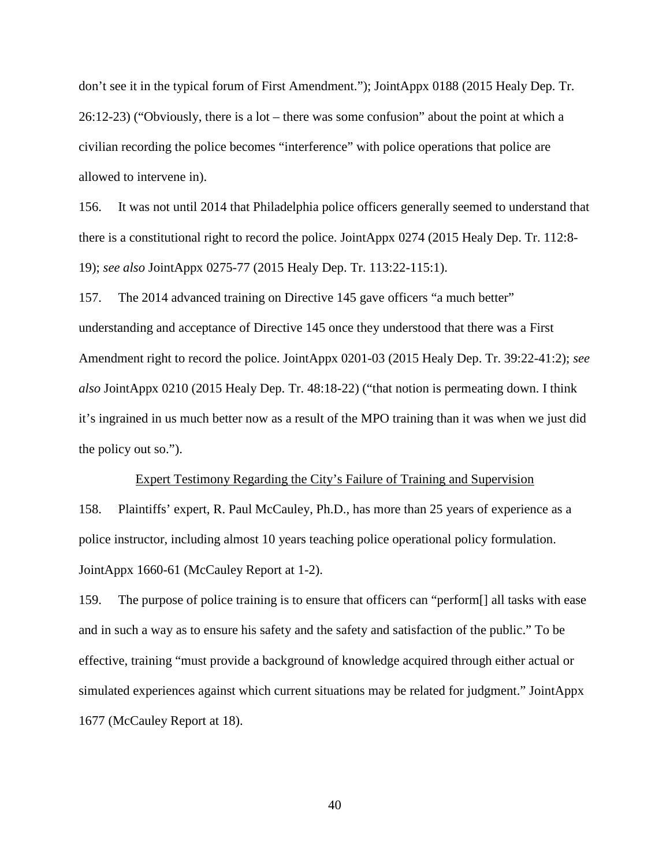don't see it in the typical forum of First Amendment."); JointAppx 0188 (2015 Healy Dep. Tr. 26:12-23) ("Obviously, there is a lot – there was some confusion" about the point at which a civilian recording the police becomes "interference" with police operations that police are allowed to intervene in).

156. It was not until 2014 that Philadelphia police officers generally seemed to understand that there is a constitutional right to record the police. JointAppx 0274 (2015 Healy Dep. Tr. 112:8- 19); *see also* JointAppx 0275-77 (2015 Healy Dep. Tr. 113:22-115:1).

157. The 2014 advanced training on Directive 145 gave officers "a much better" understanding and acceptance of Directive 145 once they understood that there was a First Amendment right to record the police. JointAppx 0201-03 (2015 Healy Dep. Tr. 39:22-41:2); *see also* JointAppx 0210 (2015 Healy Dep. Tr. 48:18-22) ("that notion is permeating down. I think it's ingrained in us much better now as a result of the MPO training than it was when we just did the policy out so.").

#### Expert Testimony Regarding the City's Failure of Training and Supervision

158. Plaintiffs' expert, R. Paul McCauley, Ph.D., has more than 25 years of experience as a police instructor, including almost 10 years teaching police operational policy formulation. JointAppx 1660-61 (McCauley Report at 1-2).

159. The purpose of police training is to ensure that officers can "perform[] all tasks with ease and in such a way as to ensure his safety and the safety and satisfaction of the public." To be effective, training "must provide a background of knowledge acquired through either actual or simulated experiences against which current situations may be related for judgment." JointAppx 1677 (McCauley Report at 18).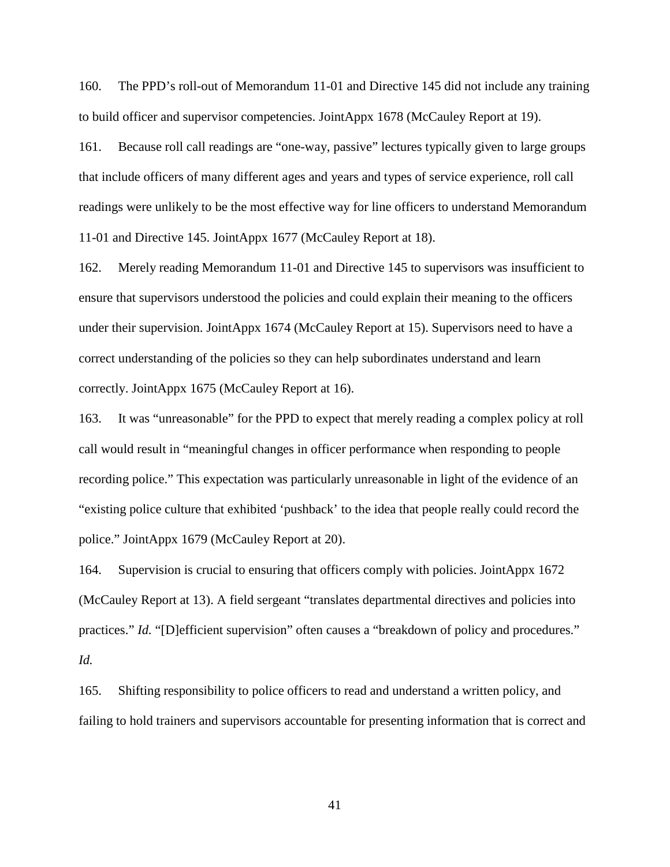160. The PPD's roll-out of Memorandum 11-01 and Directive 145 did not include any training to build officer and supervisor competencies. JointAppx 1678 (McCauley Report at 19).

161. Because roll call readings are "one-way, passive" lectures typically given to large groups that include officers of many different ages and years and types of service experience, roll call readings were unlikely to be the most effective way for line officers to understand Memorandum 11-01 and Directive 145. JointAppx 1677 (McCauley Report at 18).

162. Merely reading Memorandum 11-01 and Directive 145 to supervisors was insufficient to ensure that supervisors understood the policies and could explain their meaning to the officers under their supervision. JointAppx 1674 (McCauley Report at 15). Supervisors need to have a correct understanding of the policies so they can help subordinates understand and learn correctly. JointAppx 1675 (McCauley Report at 16).

163. It was "unreasonable" for the PPD to expect that merely reading a complex policy at roll call would result in "meaningful changes in officer performance when responding to people recording police." This expectation was particularly unreasonable in light of the evidence of an "existing police culture that exhibited 'pushback' to the idea that people really could record the police." JointAppx 1679 (McCauley Report at 20).

164. Supervision is crucial to ensuring that officers comply with policies. JointAppx 1672 (McCauley Report at 13). A field sergeant "translates departmental directives and policies into practices." *Id.* "[D]efficient supervision" often causes a "breakdown of policy and procedures." *Id.*

165. Shifting responsibility to police officers to read and understand a written policy, and failing to hold trainers and supervisors accountable for presenting information that is correct and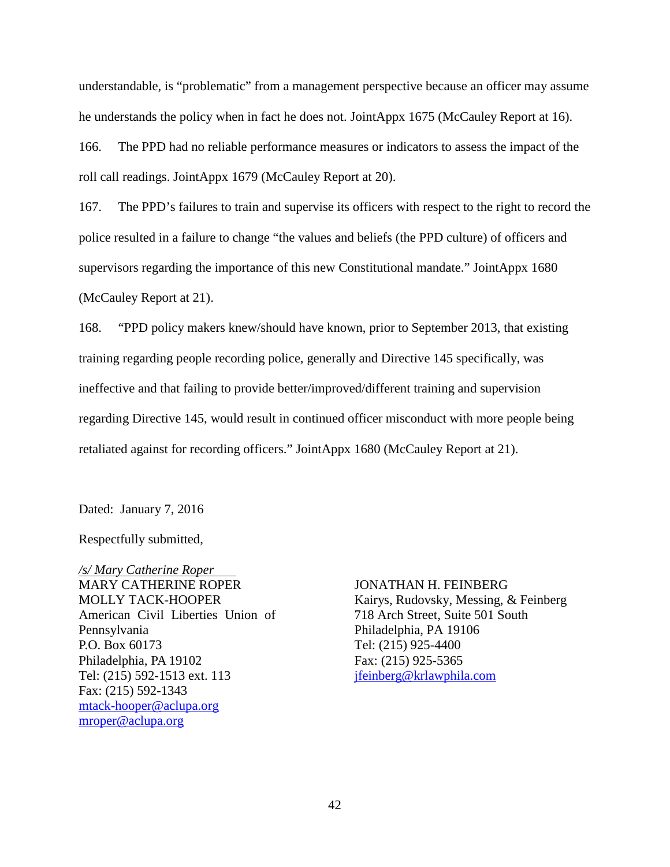understandable, is "problematic" from a management perspective because an officer may assume he understands the policy when in fact he does not. JointAppx 1675 (McCauley Report at 16).

166. The PPD had no reliable performance measures or indicators to assess the impact of the roll call readings. JointAppx 1679 (McCauley Report at 20).

167. The PPD's failures to train and supervise its officers with respect to the right to record the police resulted in a failure to change "the values and beliefs (the PPD culture) of officers and supervisors regarding the importance of this new Constitutional mandate." JointAppx 1680 (McCauley Report at 21).

168. "PPD policy makers knew/should have known, prior to September 2013, that existing training regarding people recording police, generally and Directive 145 specifically, was ineffective and that failing to provide better/improved/different training and supervision regarding Directive 145, would result in continued officer misconduct with more people being retaliated against for recording officers." JointAppx 1680 (McCauley Report at 21).

Dated: January 7, 2016

Respectfully submitted,

*/s/ Mary Catherine Roper* MARY CATHERINE ROPER MOLLY TACK-HOOPER American Civil Liberties Union of Pennsylvania P.O. Box 60173 Philadelphia, PA 19102 Tel: (215) 592-1513 ext. 113 Fax: (215) 592-1343 [mtack-hooper@aclupa.org](mailto:mtack-hooper@aclupa.org) [mroper@aclupa.org](mailto:mroper@aclupa.org)

JONATHAN H. FEINBERG Kairys, Rudovsky, Messing, & Feinberg 718 Arch Street, Suite 501 South Philadelphia, PA 19106 Tel: (215) 925-4400 Fax: (215) 925-5365 [jfeinberg@krlawphila.com](mailto:jfeinberg@krlawphila.com)